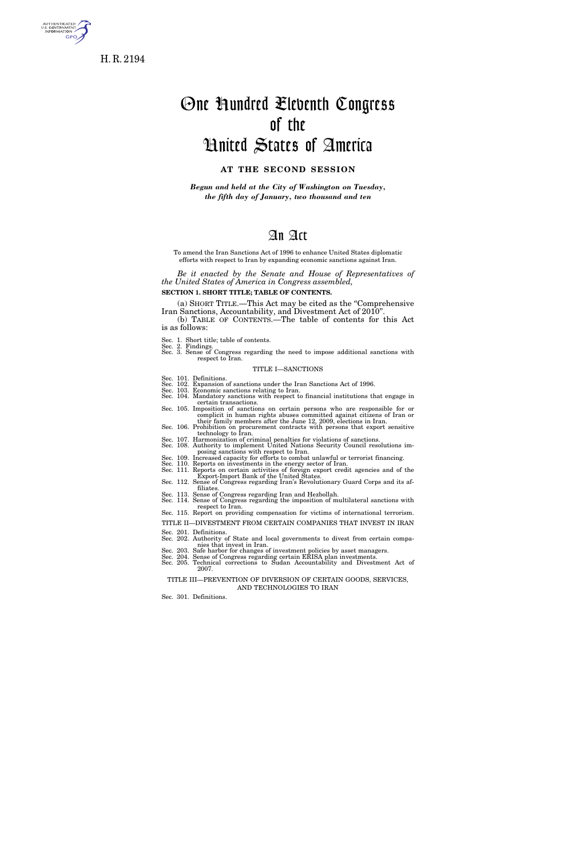

H. R. 2194

# One Hundred Eleventh Congress of the United States of America

# **AT THE SECOND SESSION**

*Begun and held at the City of Washington on Tuesday, the fifth day of January, two thousand and ten* 

# An Act

To amend the Iran Sanctions Act of 1996 to enhance United States diplomatic efforts with respect to Iran by expanding economic sanctions against Iran.

*Be it enacted by the Senate and House of Representatives of the United States of America in Congress assembled,* 

**SECTION 1. SHORT TITLE; TABLE OF CONTENTS.** 

(a) SHORT TITLE.—This Act may be cited as the ''Comprehensive Iran Sanctions, Accountability, and Divestment Act of 2010''. (b) TABLE OF CONTENTS.—The table of contents for this Act

is as follows:

Sec. 1. Short title; table of contents. Sec. 2. Findings. Sec. 3. Sense of Congress regarding the need to impose additional sanctions with respect to Iran.

#### TITLE I—SANCTIONS

- 
- Sec. 101. Definitions.<br>Sec. 102. Expansion of sanctions under the Iran Sanctions Act of 1996.<br>Sec. 103. Economic sanctions relating to Iran.<br>Sec. 104. Mandatory sanctions with respect to financial institutions that engage certain transactions. Sec. 105. Imposition of sanctions on certain persons who are responsible for or
- Sec. 105. Imposition of sanctions on certain persons who are responsible for or<br>complicit in human rights abuses committed against citizens of Iran or<br>their family members after the June 12, 2009, elections in Iran. Sec. 106. Prohibition on procurement contracts with persons that export sensitive  $\epsilon$
- technology to Iran. Sec. 107. Harmonization of criminal penalties for violations of sanctions. Sec. 108. Authority to implement United Nations Security Council resolutions im-
- posing sanctions with respect to Iran.<br>Sec. 109. Increased capacity for efforts to combat unlawful or terrorist financing.<br>Sec. 110. Reports on investments in the energy sector of Iran.<br>Sec. 111. Reports on certain activit
- 

Export-Import Bank of the United States.<br>Sec. 112. Sense of Congress regarding Iran's Revolutionary Guard Corps and its af-

- filiates. Sec. 113. Sense of Congress regarding Iran and Hezbollah. Sec. 114. Sense of Congress regarding the imposition of multilateral sanctions with
- 
- respect to Iran.<br>Sec. 115. Report on providing compensation for victims of international terrorism.
- TITLE II—DIVESTMENT FROM CERTAIN COMPANIES THAT INVEST IN IRAN Sec. 201. Definitions.
- Sec. 202. Authority of State and local governments to divest from certain compa-
- 
- nies that invest in Iran.<br>Sec. 203. Safe harbor for changes of investment policies by asset managers.<br>Sec. 204. Sense of Congress regarding certain ERISA plan investments.<br>Sec. 205. Technical corrections to Sudan Accountab 2007.

TITLE III—PREVENTION OF DIVERSION OF CERTAIN GOODS, SERVICES, AND TECHNOLOGIES TO IRAN

Sec. 301. Definitions.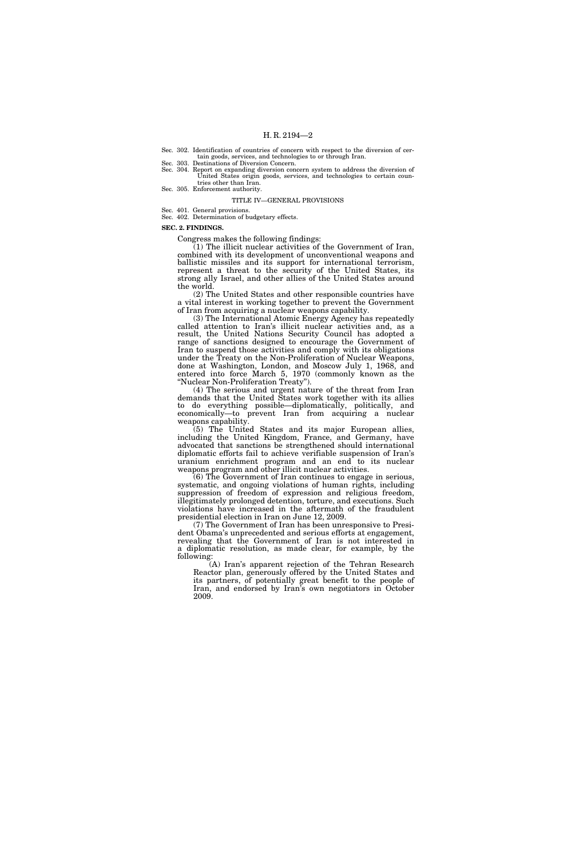Sec. 302. Identification of countries of concern with respect to the diversion of certain goods, services, and technologies to or through Iran. Sec. 303. Destinations of Diversion Concern.

Sec. 304. Report on expanding diversion concern system to address the diversion of United States origin goods, services, and technologies to certain coun-

tries other than Iran. Sec. 305. Enforcement authority.

#### TITLE IV—GENERAL PROVISIONS

Sec. 401. General provisions. Sec. 402. Determination of budgetary effects.

**SEC. 2. FINDINGS.** 

Congress makes the following findings:

(1) The illicit nuclear activities of the Government of Iran, combined with its development of unconventional weapons and ballistic missiles and its support for international terrorism, represent a threat to the security of the United States, its strong ally Israel, and other allies of the United States around the world.

(2) The United States and other responsible countries have a vital interest in working together to prevent the Government of Iran from acquiring a nuclear weapons capability.

(3) The International Atomic Energy Agency has repeatedly called attention to Iran's illicit nuclear activities and, as a result, the United Nations Security Council has adopted a range of sanctions designed to encourage the Government of Iran to suspend those activities and comply with its obligations under the Treaty on the Non-Proliferation of Nuclear Weapons, done at Washington, London, and Moscow July 1, 1968, and entered into force March 5, 1970 (commonly known as the ''Nuclear Non-Proliferation Treaty'').

(4) The serious and urgent nature of the threat from Iran demands that the United States work together with its allies to do everything possible—diplomatically, politically, and economically—to prevent Iran from acquiring a nuclear weapons capability.

(5) The United States and its major European allies, including the United Kingdom, France, and Germany, have advocated that sanctions be strengthened should international diplomatic efforts fail to achieve verifiable suspension of Iran's uranium enrichment program and an end to its nuclear weapons program and other illicit nuclear activities.

(6) The Government of Iran continues to engage in serious, systematic, and ongoing violations of human rights, including suppression of freedom of expression and religious freedom, illegitimately prolonged detention, torture, and executions. Such violations have increased in the aftermath of the fraudulent presidential election in Iran on June 12, 2009.

(7) The Government of Iran has been unresponsive to President Obama's unprecedented and serious efforts at engagement, revealing that the Government of Iran is not interested in a diplomatic resolution, as made clear, for example, by the following:

(A) Iran's apparent rejection of the Tehran Research Reactor plan, generously offered by the United States and its partners, of potentially great benefit to the people of Iran, and endorsed by Iran's own negotiators in October 2009.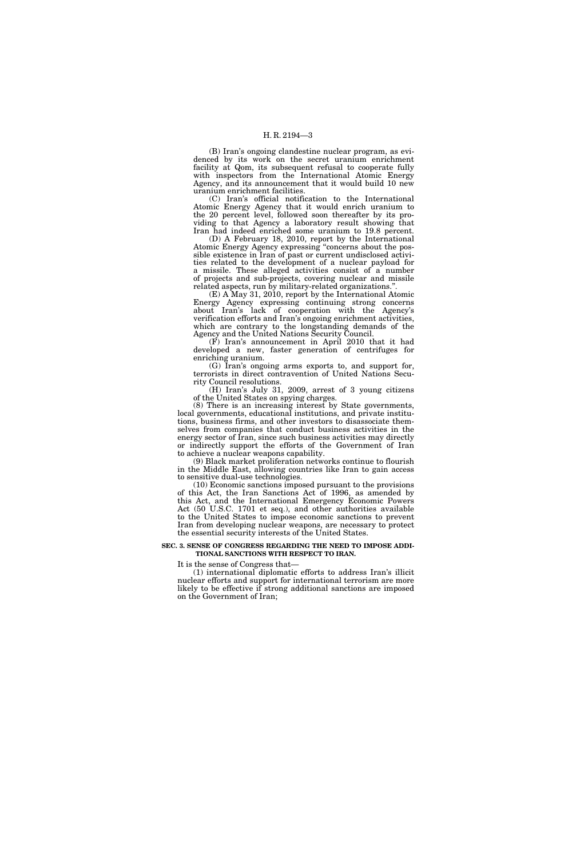(B) Iran's ongoing clandestine nuclear program, as evidenced by its work on the secret uranium enrichment facility at Qom, its subsequent refusal to cooperate fully with inspectors from the International Atomic Energy Agency, and its announcement that it would build 10 new uranium enrichment facilities.

(C) Iran's official notification to the International Atomic Energy Agency that it would enrich uranium to the 20 percent level, followed soon thereafter by its providing to that Agency a laboratory result showing that Iran had indeed enriched some uranium to 19.8 percent.

(D) A February 18, 2010, report by the International Atomic Energy Agency expressing ''concerns about the possible existence in Iran of past or current undisclosed activities related to the development of a nuclear payload for a missile. These alleged activities consist of a number of projects and sub-projects, covering nuclear and missile related aspects, run by military-related organizations.''.

(E) A May 31, 2010, report by the International Atomic Energy Agency expressing continuing strong concerns about Iran's lack of cooperation with the Agency's verification efforts and Iran's ongoing enrichment activities, which are contrary to the longstanding demands of the Agency and the United Nations Security Council.

(F) Iran's announcement in April 2010 that it had developed a new, faster generation of centrifuges for enriching uranium.

(G) Iran's ongoing arms exports to, and support for, terrorists in direct contravention of United Nations Security Council resolutions.

(H) Iran's July 31, 2009, arrest of 3 young citizens of the United States on spying charges.

(8) There is an increasing interest by State governments, local governments, educational institutions, and private institutions, business firms, and other investors to disassociate themselves from companies that conduct business activities in the energy sector of Iran, since such business activities may directly or indirectly support the efforts of the Government of Iran to achieve a nuclear weapons capability.

(9) Black market proliferation networks continue to flourish in the Middle East, allowing countries like Iran to gain access to sensitive dual-use technologies.

(10) Economic sanctions imposed pursuant to the provisions of this Act, the Iran Sanctions Act of 1996, as amended by this Act, and the International Emergency Economic Powers Act (50 U.S.C. 1701 et seq.), and other authorities available to the United States to impose economic sanctions to prevent Iran from developing nuclear weapons, are necessary to protect the essential security interests of the United States.

#### **SEC. 3. SENSE OF CONGRESS REGARDING THE NEED TO IMPOSE ADDI-TIONAL SANCTIONS WITH RESPECT TO IRAN.**

It is the sense of Congress that—

(1) international diplomatic efforts to address Iran's illicit nuclear efforts and support for international terrorism are more likely to be effective if strong additional sanctions are imposed on the Government of Iran;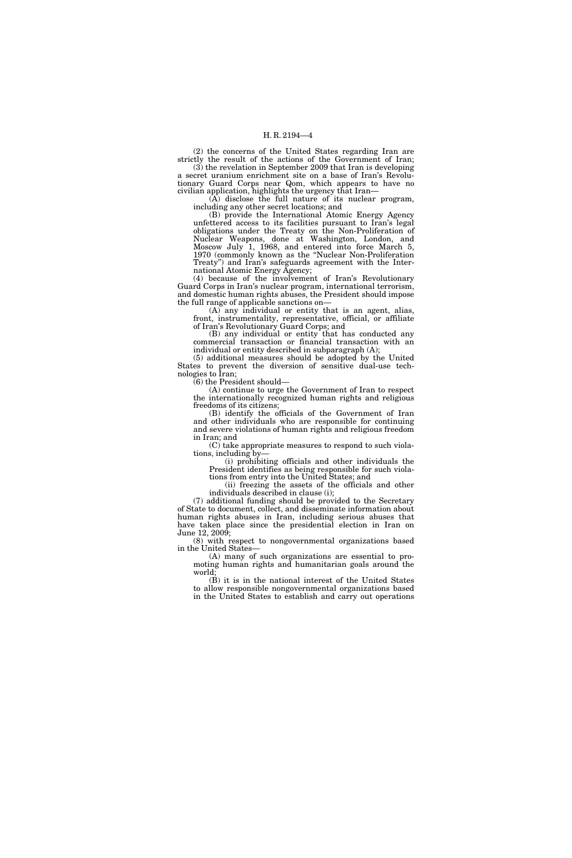(2) the concerns of the United States regarding Iran are strictly the result of the actions of the Government of Iran;

 $(3)$  the revelation in September 2009 that Iran is developing a secret uranium enrichment site on a base of Iran's Revolutionary Guard Corps near Qom, which appears to have no civilian application, highlights the urgency that Iran—

(A) disclose the full nature of its nuclear program, including any other secret locations; and

(B) provide the International Atomic Energy Agency unfettered access to its facilities pursuant to Iran's legal obligations under the Treaty on the Non-Proliferation of Nuclear Weapons, done at Washington, London, and Moscow July 1, 1968, and entered into force March 5, 1970 (commonly known as the ''Nuclear Non-Proliferation Treaty'') and Iran's safeguards agreement with the International Atomic Energy Agency;

(4) because of the involvement of Iran's Revolutionary Guard Corps in Iran's nuclear program, international terrorism, and domestic human rights abuses, the President should impose the full range of applicable sanctions on—

(A) any individual or entity that is an agent, alias, front, instrumentality, representative, official, or affiliate of Iran's Revolutionary Guard Corps; and

(B) any individual or entity that has conducted any commercial transaction or financial transaction with an individual or entity described in subparagraph (A);

(5) additional measures should be adopted by the United States to prevent the diversion of sensitive dual-use technologies to Iran;

 $(6)$  the President should-

(A) continue to urge the Government of Iran to respect the internationally recognized human rights and religious freedoms of its citizens;

(B) identify the officials of the Government of Iran and other individuals who are responsible for continuing and severe violations of human rights and religious freedom in Iran; and

(C) take appropriate measures to respond to such violations, including by—

(i) prohibiting officials and other individuals the President identifies as being responsible for such violations from entry into the United States; and

(ii) freezing the assets of the officials and other individuals described in clause (i);

(7) additional funding should be provided to the Secretary of State to document, collect, and disseminate information about human rights abuses in Iran, including serious abuses that have taken place since the presidential election in Iran on June 12, 2009;

(8) with respect to nongovernmental organizations based in the United States—

(A) many of such organizations are essential to promoting human rights and humanitarian goals around the world;

(B) it is in the national interest of the United States to allow responsible nongovernmental organizations based in the United States to establish and carry out operations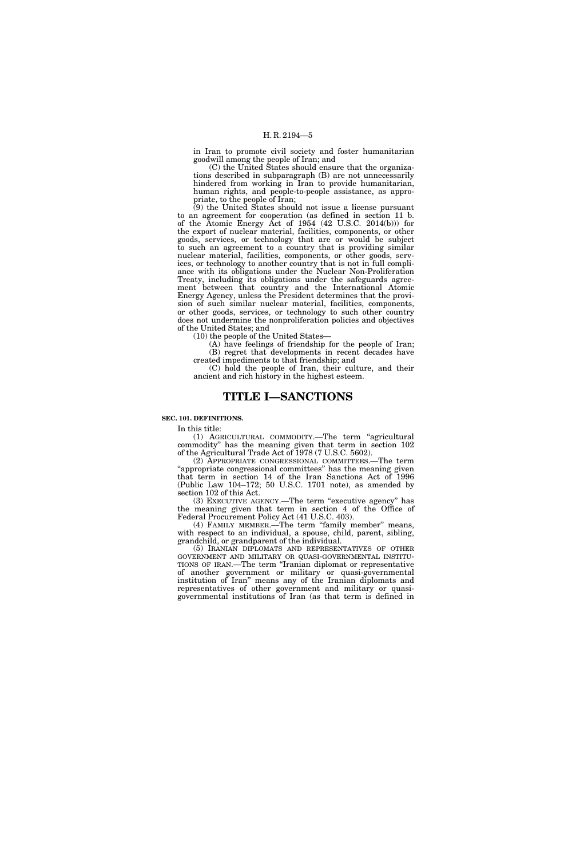in Iran to promote civil society and foster humanitarian goodwill among the people of Iran; and

(C) the United States should ensure that the organizations described in subparagraph (B) are not unnecessarily hindered from working in Iran to provide humanitarian, human rights, and people-to-people assistance, as appropriate, to the people of Iran;

(9) the United States should not issue a license pursuant to an agreement for cooperation (as defined in section 11 b. of the Atomic Energy Act of 1954 (42 U.S.C. 2014(b))) for the export of nuclear material, facilities, components, or other goods, services, or technology that are or would be subject to such an agreement to a country that is providing similar nuclear material, facilities, components, or other goods, services, or technology to another country that is not in full compliance with its obligations under the Nuclear Non-Proliferation Treaty, including its obligations under the safeguards agreement between that country and the International Atomic Energy Agency, unless the President determines that the provision of such similar nuclear material, facilities, components, or other goods, services, or technology to such other country does not undermine the nonproliferation policies and objectives of the United States; and

(10) the people of the United States—

(A) have feelings of friendship for the people of Iran; (B) regret that developments in recent decades have created impediments to that friendship; and

(C) hold the people of Iran, their culture, and their ancient and rich history in the highest esteem.

# **TITLE I—SANCTIONS**

# **SEC. 101. DEFINITIONS.**

In this title:

(1) AGRICULTURAL COMMODITY.—The term ''agricultural commodity'' has the meaning given that term in section 102 of the Agricultural Trade Act of 1978 (7 U.S.C. 5602).

(2) APPROPRIATE CONGRESSIONAL COMMITTEES.—The term "appropriate congressional committees" has the meaning given that term in section 14 of the Iran Sanctions Act of 1996 (Public Law 104–172; 50 U.S.C. 1701 note), as amended by section 102 of this Act.

(3) EXECUTIVE AGENCY.—The term ''executive agency'' has the meaning given that term in section 4 of the Office of Federal Procurement Policy Act (41 U.S.C. 403).

(4) FAMILY MEMBER.—The term ''family member'' means, with respect to an individual, a spouse, child, parent, sibling, grandchild, or grandparent of the individual.

(5) IRANIAN DIPLOMATS AND REPRESENTATIVES OF OTHER GOVERNMENT AND MILITARY OR QUASI-GOVERNMENTAL INSTITU-TIONS OF IRAN.—The term ''Iranian diplomat or representative of another government or military or quasi-governmental institution of Iran'' means any of the Iranian diplomats and representatives of other government and military or quasigovernmental institutions of Iran (as that term is defined in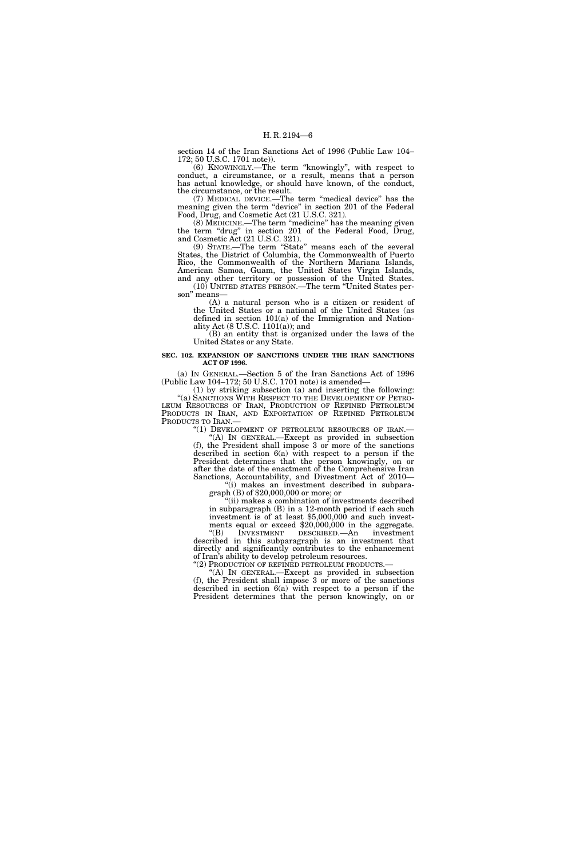section 14 of the Iran Sanctions Act of 1996 (Public Law 104– 172; 50 U.S.C. 1701 note)).

(6) KNOWINGLY.—The term ''knowingly'', with respect to conduct, a circumstance, or a result, means that a person has actual knowledge, or should have known, of the conduct, the circumstance, or the result.

(7) MEDICAL DEVICE.—The term ''medical device'' has the meaning given the term ''device'' in section 201 of the Federal Food, Drug, and Cosmetic Act (21 U.S.C. 321).

(8) MEDICINE.—The term ''medicine'' has the meaning given the term "drug" in section 201 of the Federal Food, Drug, and Cosmetic Act (21 U.S.C. 321).

(9) STATE.—The term ''State'' means each of the several States, the District of Columbia, the Commonwealth of Puerto Rico, the Commonwealth of the Northern Mariana Islands, American Samoa, Guam, the United States Virgin Islands, and any other territory or possession of the United States. (10) UNITED STATES PERSON.—The term ''United States person'' means—

(A) a natural person who is a citizen or resident of the United States or a national of the United States (as defined in section 101(a) of the Immigration and Nationality Act (8 U.S.C. 1101(a)); and

(B) an entity that is organized under the laws of the United States or any State.

# **SEC. 102. EXPANSION OF SANCTIONS UNDER THE IRAN SANCTIONS ACT OF 1996.**

(a) IN GENERAL.—Section 5 of the Iran Sanctions Act of 1996 (Public Law 104–172; 50 U.S.C. 1701 note) is amended—

(1) by striking subsection (a) and inserting the following: "(a) SANCTIONS WITH RESPECT TO THE DEVELOPMENT OF PETRO-LEUM RESOURCES OF IRAN, PRODUCTION OF REFINED PETROLEUM PRODUCTS IN IRAN, AND EXPORTATION OF REFINED PETROLEUM PRODUCTS TO IRAN.— PRODUCTS TO IRAN.—<br>
"(1) DEVELOPMENT OF PETROLEUM RESOURCES OF IRAN.—<br>
"(A) IN GENERAL.—Except as provided in subsection"

(f), the President shall impose 3 or more of the sanctions described in section  $6(a)$  with respect to a person if the President determines that the person knowingly, on or after the date of the enactment of the Comprehensive Iran Sanctions, Accountability, and Divestment Act of 2010—

"(i) makes an investment described in subparagraph (B) of  $$20,000,000$  or more; or

''(ii) makes a combination of investments described in subparagraph (B) in a 12-month period if each such investment is of at least \$5,000,000 and such invest-

ments equal or exceed \$20,000,000 in the aggregate.<br>"(B) INVESTMENT DESCRIBED.—An investment INVESTMENT DESCRIBED.—An investment described in this subparagraph is an investment that directly and significantly contributes to the enhancement of Iran's ability to develop petroleum resources.

"(2) PRODUCTION OF REFINED PETROLEUM PRODUCTS.-

''(A) IN GENERAL.—Except as provided in subsection (f), the President shall impose 3 or more of the sanctions described in section 6(a) with respect to a person if the President determines that the person knowingly, on or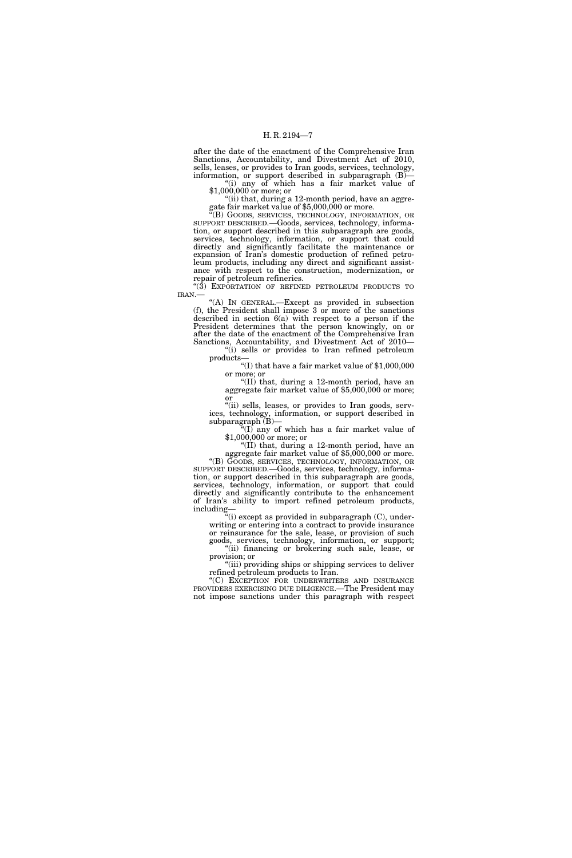after the date of the enactment of the Comprehensive Iran Sanctions, Accountability, and Divestment Act of 2010, sells, leases, or provides to Iran goods, services, technology, information, or support described in subparagraph (B)— "(i) any of which has a fair market value of

\$1,000,000 or more; or

"(ii) that, during a 12-month period, have an aggregate fair market value of \$5,000,000 or more.

"(B) GOODS, SERVICES, TECHNOLOGY, INFORMATION, OR SUPPORT DESCRIBED.—Goods, services, technology, information, or support described in this subparagraph are goods, services, technology, information, or support that could directly and significantly facilitate the maintenance or expansion of Iran's domestic production of refined petroleum products, including any direct and significant assistance with respect to the construction, modernization, or repair of petroleum refineries.

"(3) EXPORTATION OF REFINED PETROLEUM PRODUCTS TO IRAN.—

''(A) IN GENERAL.—Except as provided in subsection (f), the President shall impose 3 or more of the sanctions described in section 6(a) with respect to a person if the President determines that the person knowingly, on or after the date of the enactment of the Comprehensive Iran Sanctions, Accountability, and Divestment Act of 2010—

''(i) sells or provides to Iran refined petroleum

"(I) that have a fair market value of  $$1,000,000$ 

or more; or<br>"(II) that, during a 12-month period, have an aggregate fair market value of \$5,000,000 or more; or

''(ii) sells, leases, or provides to Iran goods, services, technology, information, or support described in subparagraph (B)—

 $*$ (I) any of which has a fair market value of \$1,000,000 or more; or "(II) that, during a 12-month period, have an

aggregate fair market value of  $$5,000,000$  or more. "(B) GOODS, SERVICES, TECHNOLOGY, INFORMATION, OR

SUPPORT DESCRIBED.—Goods, services, technology, information, or support described in this subparagraph are goods, services, technology, information, or support that could directly and significantly contribute to the enhancement of Iran's ability to import refined petroleum products, including—

"(i) except as provided in subparagraph (C), underwriting or entering into a contract to provide insurance or reinsurance for the sale, lease, or provision of such goods, services, technology, information, or support;

''(ii) financing or brokering such sale, lease, or provision; or ''(iii) providing ships or shipping services to deliver

refined petroleum products to Iran.

''(C) EXCEPTION FOR UNDERWRITERS AND INSURANCE PROVIDERS EXERCISING DUE DILIGENCE.—The President may not impose sanctions under this paragraph with respect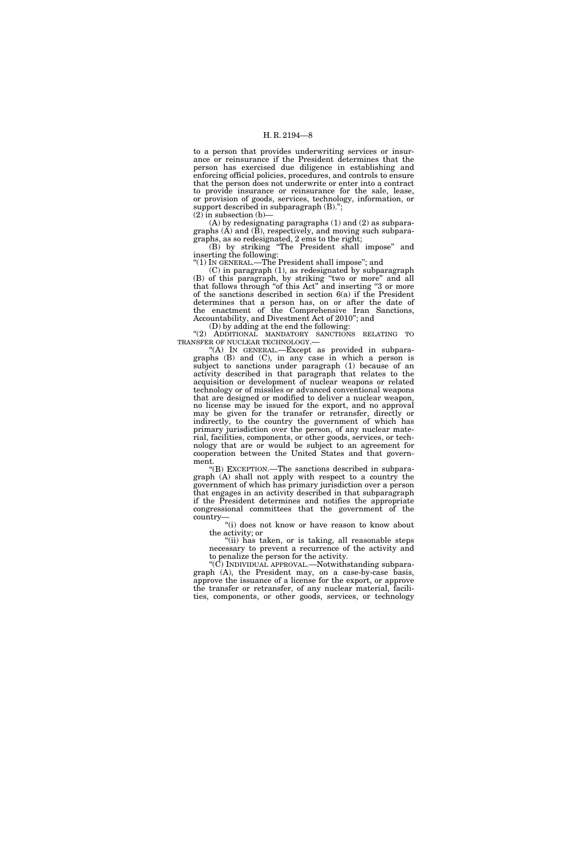to a person that provides underwriting services or insurance or reinsurance if the President determines that the person has exercised due diligence in establishing and enforcing official policies, procedures, and controls to ensure that the person does not underwrite or enter into a contract to provide insurance or reinsurance for the sale, lease, or provision of goods, services, technology, information, or support described in subparagraph  $(B)$ .";  $(2)$  in subsection (b)

(A) by redesignating paragraphs (1) and (2) as subparagraphs  $(A)$  and  $(\overline{B})$ , respectively, and moving such subparagraphs, as so redesignated, 2 ems to the right;

(B) by striking ''The President shall impose'' and inserting the following:

''(1) IN GENERAL.—The President shall impose''; and

(C) in paragraph (1), as redesignated by subparagraph (B) of this paragraph, by striking ''two or more'' and all that follows through "of this Act" and inserting "3 or more of the sanctions described in section 6(a) if the President determines that a person has, on or after the date of the enactment of the Comprehensive Iran Sanctions, Accountability, and Divestment Act of 2010''; and

(D) by adding at the end the following:  $\lq(2)$  ADDITIONAL MANDATORY SANCTIONS RELATING TO TRANSFER OF NUCLEAR TECHNOLOGY.—

"(A) In GENERAL.—Except as provided in subparagraphs (B) and (C), in any case in which a person is subject to sanctions under paragraph (1) because of an activity described in that paragraph that relates to the acquisition or development of nuclear weapons or related technology or of missiles or advanced conventional weapons that are designed or modified to deliver a nuclear weapon, no license may be issued for the export, and no approval may be given for the transfer or retransfer, directly or indirectly, to the country the government of which has primary jurisdiction over the person, of any nuclear material, facilities, components, or other goods, services, or technology that are or would be subject to an agreement for cooperation between the United States and that government.

''(B) EXCEPTION.—The sanctions described in subparagraph (A) shall not apply with respect to a country the government of which has primary jurisdiction over a person that engages in an activity described in that subparagraph if the President determines and notifies the appropriate congressional committees that the government of the country—

''(i) does not know or have reason to know about the activity; or

"(ii) has taken, or is taking, all reasonable steps necessary to prevent a recurrence of the activity and to penalize the person for the activity.

" $(C)$  INDIVIDUAL APPROVAL.—Notwithstanding subparagraph (A), the President may, on a case-by-case basis, approve the issuance of a license for the export, or approve the transfer or retransfer, of any nuclear material, facilities, components, or other goods, services, or technology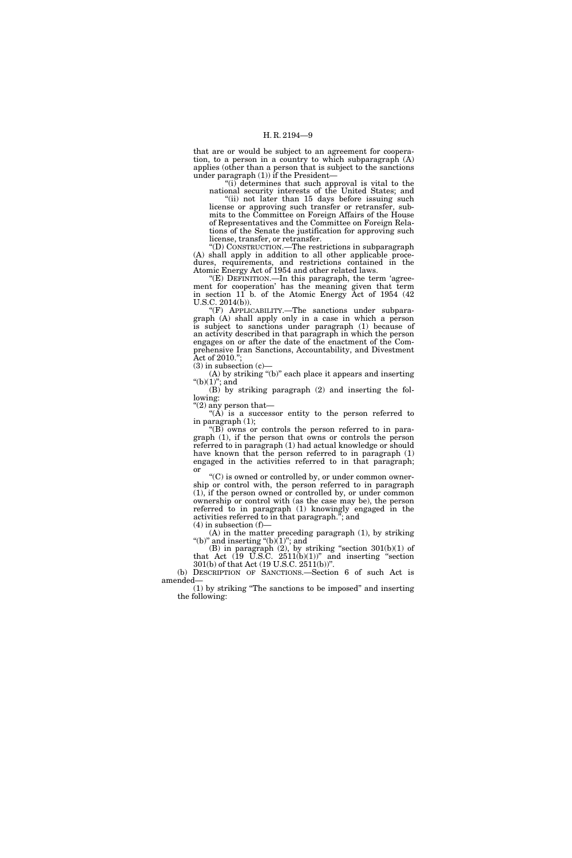that are or would be subject to an agreement for cooperation, to a person in a country to which subparagraph (A) applies (other than a person that is subject to the sanctions under paragraph (1)) if the President—

"(i) determines that such approval is vital to the national security interests of the United States; and

"(ii) not later than 15 days before issuing such license or approving such transfer or retransfer, submits to the Committee on Foreign Affairs of the House of Representatives and the Committee on Foreign Relations of the Senate the justification for approving such license, transfer, or retransfer.

''(D) CONSTRUCTION.—The restrictions in subparagraph (A) shall apply in addition to all other applicable procedures, requirements, and restrictions contained in the Atomic Energy Act of 1954 and other related laws.

"(E) DEFINITION.—In this paragraph, the term 'agreement for cooperation' has the meaning given that term in section 11 b. of the Atomic Energy Act of 1954 (42 U.S.C. 2014(b)).

''(F) APPLICABILITY.—The sanctions under subparagraph (A) shall apply only in a case in which a person is subject to sanctions under paragraph (1) because of an activity described in that paragraph in which the person engages on or after the date of the enactment of the Comprehensive Iran Sanctions, Accountability, and Divestment Act of 2010."

 $(3)$  in subsection  $(c)$ 

(A) by striking ''(b)'' each place it appears and inserting " $(b)(1)$ "; and

(B) by striking paragraph (2) and inserting the following:

''(2) any person that—

" $(\tilde{A})$  is a successor entity to the person referred to in paragraph (1);  $\sqrt{\text{B}}$  owns or controls the person referred to in para-

graph (1), if the person that owns or controls the person referred to in paragraph (1) had actual knowledge or should have known that the person referred to in paragraph (1) engaged in the activities referred to in that paragraph; or

 $C^*(C)$  is owned or controlled by, or under common ownership or control with, the person referred to in paragraph (1), if the person owned or controlled by, or under common ownership or control with (as the case may be), the person referred to in paragraph (1) knowingly engaged in the activities referred to in that paragraph.''; and  $(4)$  in subsection  $(f)$ —

(A) in the matter preceding paragraph (1), by striking "(b)" and inserting " $(b)(1)$ "; and

 $(B)$  in paragraph  $(2)$ , by striking "section  $301(b)(1)$  of that Act  $(19 \text{ U.S.C. } 2511(b)(1))^{\circ}$  and inserting "section" 301(b) of that Act (19 U.S.C. 2511(b))''.

(b) DESCRIPTION OF SANCTIONS.—Section 6 of such Act is amended—

(1) by striking ''The sanctions to be imposed'' and inserting the following: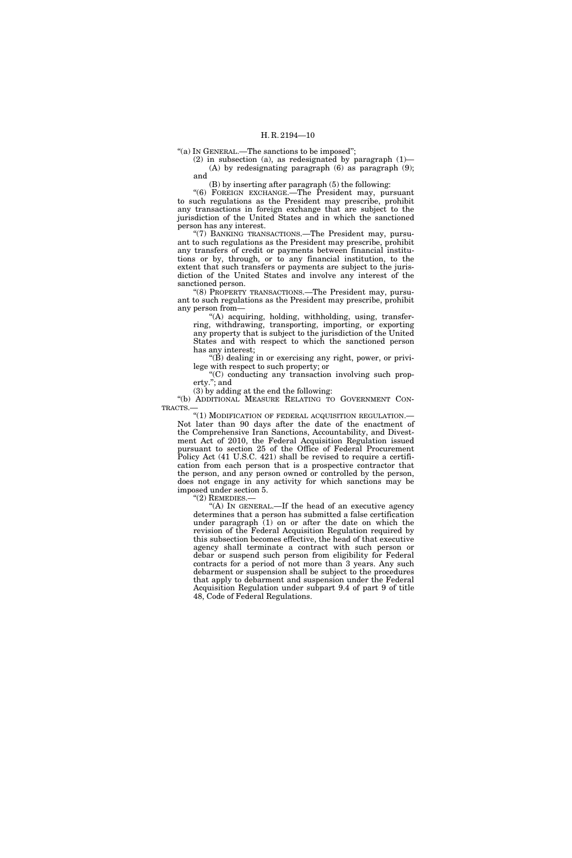"(a) IN GENERAL.—The sanctions to be imposed";

(2) in subsection (a), as redesignated by paragraph (1)— (A) by redesignating paragraph (6) as paragraph (9); and

(B) by inserting after paragraph (5) the following:

''(6) FOREIGN EXCHANGE.—The President may, pursuant to such regulations as the President may prescribe, prohibit any transactions in foreign exchange that are subject to the jurisdiction of the United States and in which the sanctioned person has any interest.

''(7) BANKING TRANSACTIONS.—The President may, pursuant to such regulations as the President may prescribe, prohibit any transfers of credit or payments between financial institutions or by, through, or to any financial institution, to the extent that such transfers or payments are subject to the jurisdiction of the United States and involve any interest of the sanctioned person.

"(8) PROPERTY TRANSACTIONS.—The President may, pursuant to such regulations as the President may prescribe, prohibit any person from—

''(A) acquiring, holding, withholding, using, transferring, withdrawing, transporting, importing, or exporting any property that is subject to the jurisdiction of the United States and with respect to which the sanctioned person has any interest;

 $\mathrm{``(B)}$  dealing in or exercising any right, power, or privilege with respect to such property; or

''(C) conducting any transaction involving such property.''; and

(3) by adding at the end the following:

''(b) ADDITIONAL MEASURE RELATING TO GOVERNMENT CON-TRACTS.—

''(1) MODIFICATION OF FEDERAL ACQUISITION REGULATION.— Not later than 90 days after the date of the enactment of the Comprehensive Iran Sanctions, Accountability, and Divestment Act of 2010, the Federal Acquisition Regulation issued pursuant to section 25 of the Office of Federal Procurement Policy Act (41 U.S.C. 421) shall be revised to require a certification from each person that is a prospective contractor that the person, and any person owned or controlled by the person, does not engage in any activity for which sanctions may be imposed under section 5.

 $"(2)$  REMEDIES.

"(A) IN GENERAL.—If the head of an executive agency determines that a person has submitted a false certification under paragraph (1) on or after the date on which the revision of the Federal Acquisition Regulation required by this subsection becomes effective, the head of that executive agency shall terminate a contract with such person or debar or suspend such person from eligibility for Federal contracts for a period of not more than 3 years. Any such debarment or suspension shall be subject to the procedures that apply to debarment and suspension under the Federal Acquisition Regulation under subpart 9.4 of part 9 of title 48, Code of Federal Regulations.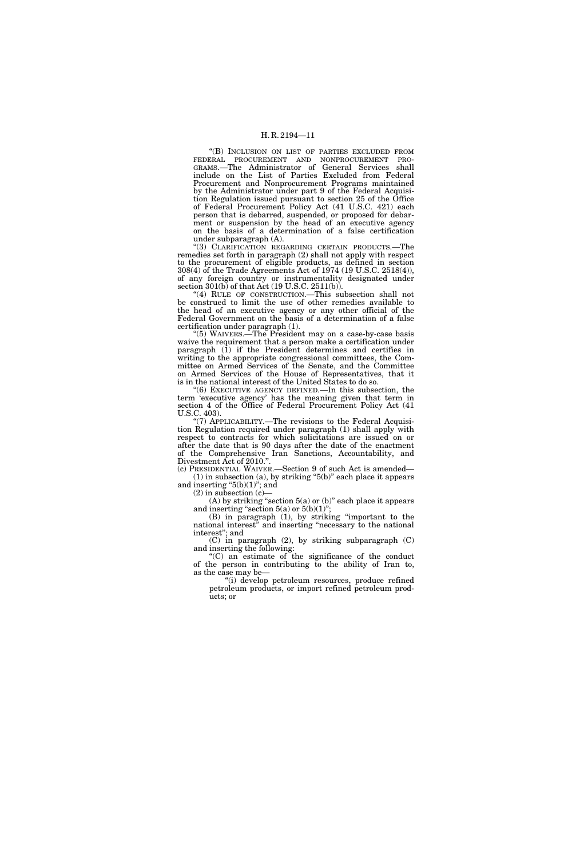''(B) INCLUSION ON LIST OF PARTIES EXCLUDED FROM FEDERAL PROCUREMENT AND NONPROCUREMENT PRO-GRAMS.—The Administrator of General Services shall include on the List of Parties Excluded from Federal Procurement and Nonprocurement Programs maintained by the Administrator under part 9 of the Federal Acquisition Regulation issued pursuant to section 25 of the Office of Federal Procurement Policy Act (41 U.S.C. 421) each person that is debarred, suspended, or proposed for debarment or suspension by the head of an executive agency on the basis of a determination of a false certification under subparagraph (A).

''(3) CLARIFICATION REGARDING CERTAIN PRODUCTS.—The remedies set forth in paragraph (2) shall not apply with respect to the procurement of eligible products, as defined in section 308(4) of the Trade Agreements Act of 1974 (19 U.S.C. 2518(4)), of any foreign country or instrumentality designated under section 301(b) of that Act (19 U.S.C. 2511(b)).

''(4) RULE OF CONSTRUCTION.—This subsection shall not be construed to limit the use of other remedies available to the head of an executive agency or any other official of the Federal Government on the basis of a determination of a false certification under paragraph (1).

''(5) WAIVERS.—The President may on a case-by-case basis waive the requirement that a person make a certification under paragraph (1) if the President determines and certifies in writing to the appropriate congressional committees, the Committee on Armed Services of the Senate, and the Committee on Armed Services of the House of Representatives, that it is in the national interest of the United States to do so.

''(6) EXECUTIVE AGENCY DEFINED.—In this subsection, the term 'executive agency' has the meaning given that term in section 4 of the Office of Federal Procurement Policy Act (41 U.S.C. 403).

"(7) APPLICABILITY.—The revisions to the Federal Acquisition Regulation required under paragraph (1) shall apply with respect to contracts for which solicitations are issued on or after the date that is 90 days after the date of the enactment of the Comprehensive Iran Sanctions, Accountability, and Divestment Act of 2010.''.

(c) PRESIDENTIAL WAIVER.—Section 9 of such Act is amended—  $(1)$  in subsection  $(a)$ , by striking "5 $(b)$ " each place it appears and inserting " $5(b)(1)$ "; and

 $(2)$  in subsection  $(c)$ —

(A) by striking "section  $5(a)$  or (b)" each place it appears and inserting "section  $5(a)$  or  $5(b)(1)$ ";

(B) in paragraph (1), by striking ''important to the national interest" and inserting "necessary to the national interest''; and

(C) in paragraph (2), by striking subparagraph (C) and inserting the following:

''(C) an estimate of the significance of the conduct of the person in contributing to the ability of Iran to, as the case may be—

"(i) develop petroleum resources, produce refined petroleum products, or import refined petroleum products; or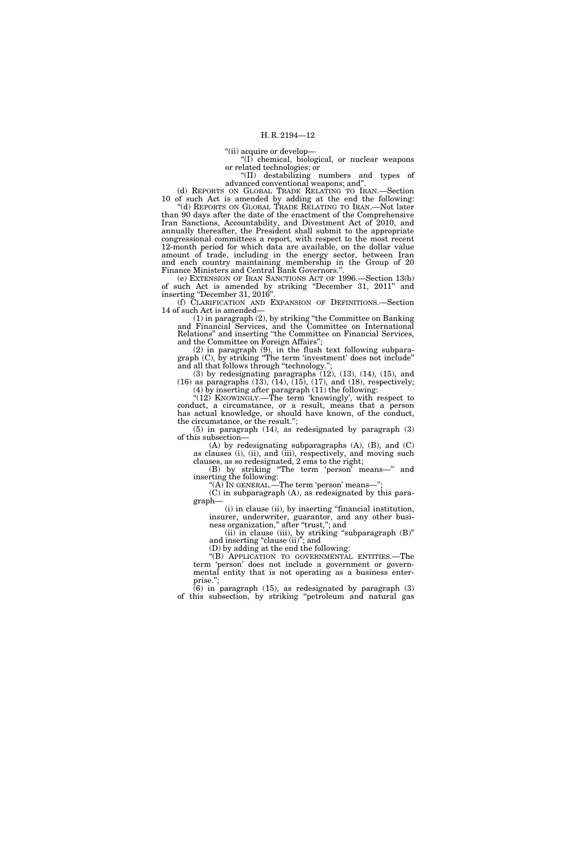''(ii) acquire or develop—

 $\mathcal{H}(I)$  chemical, biological, or nuclear weapons or related technologies; or

''(II) destabilizing numbers and types of advanced conventional weapons; and''.

(d) REPORTS ON GLOBAL TRADE RELATING TO IRAN.—Section 10 of such Act is amended by adding at the end the following: ''(d) REPORTS ON GLOBAL TRADE RELATING TO IRAN.—Not later than 90 days after the date of the enactment of the Comprehensive Iran Sanctions, Accountability, and Divestment Act of 2010, and annually thereafter, the President shall submit to the appropriate congressional committees a report, with respect to the most recent 12-month period for which data are available, on the dollar value amount of trade, including in the energy sector, between Iran

and each country maintaining membership in the Group of 20 Finance Ministers and Central Bank Governors.' (e) EXTENSION OF IRAN SANCTIONS ACT OF 1996.—Section 13(b)

of such Act is amended by striking ''December 31, 2011'' and inserting "December 31, 2016"

(f) CLARIFICATION AND EXPANSION OF DEFINITIONS.—Section 14 of such Act is amended—

(1) in paragraph (2), by striking ''the Committee on Banking and Financial Services, and the Committee on International Relations'' and inserting ''the Committee on Financial Services, and the Committee on Foreign Affairs'';

(2) in paragraph (9), in the flush text following subparagraph (C), by striking ''The term 'investment' does not include'' and all that follows through "technology."

 $(3)$  by redesignating paragraphs  $(12)$ ,  $(13)$ ,  $(14)$ ,  $(15)$ , and  $(16)$  as paragraphs  $(13)$ ,  $(14)$ ,  $(15)$ ,  $(17)$ , and  $(18)$ , respectively; (4) by inserting after paragraph (11) the following:

"(12) KNOWINGLY.—The term 'knowingly', with respect to conduct, a circumstance, or a result, means that a person has actual knowledge, or should have known, of the conduct, the circumstance, or the result.'';

 $(5)$  in paragraph  $(14)$ , as redesignated by paragraph  $(3)$ of this subsection—

(A) by redesignating subparagraphs (A), (B), and (C) as clauses (i), (ii), and (iii), respectively, and moving such clauses, as so redesignated, 2 ems to the right;

(B) by striking ''The term 'person' means—'' and inserting the following:

"(A) IN GENERAL.—The term 'person' means—";

(C) in subparagraph (A), as redesignated by this paragraph—

(i) in clause (ii), by inserting ''financial institution, insurer, underwriter, guarantor, and any other business organization," after "trust,"; and

(ii) in clause (iii), by striking ''subparagraph (B)'' and inserting "clause (ii)"; and

(D) by adding at the end the following:

''(B) APPLICATION TO GOVERNMENTAL ENTITIES.—The term 'person' does not include a government or governmental entity that is not operating as a business enterprise.'';

 $(6)$  in paragraph  $(15)$ , as redesignated by paragraph  $(3)$ of this subsection, by striking ''petroleum and natural gas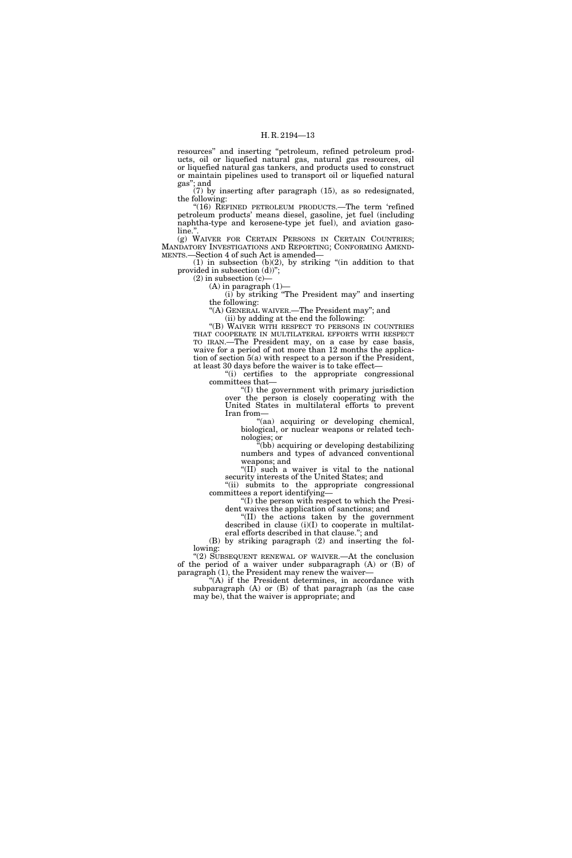resources'' and inserting ''petroleum, refined petroleum products, oil or liquefied natural gas, natural gas resources, oil or liquefied natural gas tankers, and products used to construct or maintain pipelines used to transport oil or liquefied natural gas''; and

(7) by inserting after paragraph (15), as so redesignated, the following:

"(16) REFINED PETROLEUM PRODUCTS.—The term 'refined petroleum products' means diesel, gasoline, jet fuel (including naphtha-type and kerosene-type jet fuel), and aviation gasoline.'

(g) WAIVER FOR CERTAIN PERSONS IN CERTAIN COUNTRIES; MANDATORY INVESTIGATIONS AND REPORTING; CONFORMING AMEND-MENTS.—Section 4 of such Act is amended—

 $(1)$  in subsection  $(b)(2)$ , by striking "(in addition to that provided in subsection (d))'';

 $(2)$  in subsection  $(c)$ —

 $(A)$  in paragraph  $(1)$ —

(i) by striking ''The President may'' and inserting the following:

''(A) GENERAL WAIVER.—The President may''; and

(ii) by adding at the end the following:

"(B) WAIVER WITH RESPECT TO PERSONS IN COUNTRIES THAT COOPERATE IN MULTILATERAL EFFORTS WITH RESPECT TO IRAN.—The President may, on a case by case basis, waive for a period of not more than 12 months the application of section 5(a) with respect to a person if the President, at least 30 days before the waiver is to take effect—

''(i) certifies to the appropriate congressional committees that—

''(I) the government with primary jurisdiction over the person is closely cooperating with the United States in multilateral efforts to prevent Iran from—

''(aa) acquiring or developing chemical, biological, or nuclear weapons or related technologies; or

''(bb) acquiring or developing destabilizing numbers and types of advanced conventional weapons; and

''(II) such a waiver is vital to the national security interests of the United States; and

"(ii) submits to the appropriate congressional committees a report identifying—

''(I) the person with respect to which the President waives the application of sanctions; and ''(II) the actions taken by the government

described in clause (i)(I) to cooperate in multilateral efforts described in that clause.''; and

(B) by striking paragraph (2) and inserting the following:

"(2) SUBSEQUENT RENEWAL OF WAIVER.—At the conclusion of the period of a waiver under subparagraph (A) or (B) of paragraph (1), the President may renew the waiver-

''(A) if the President determines, in accordance with subparagraph (A) or (B) of that paragraph (as the case may be), that the waiver is appropriate; and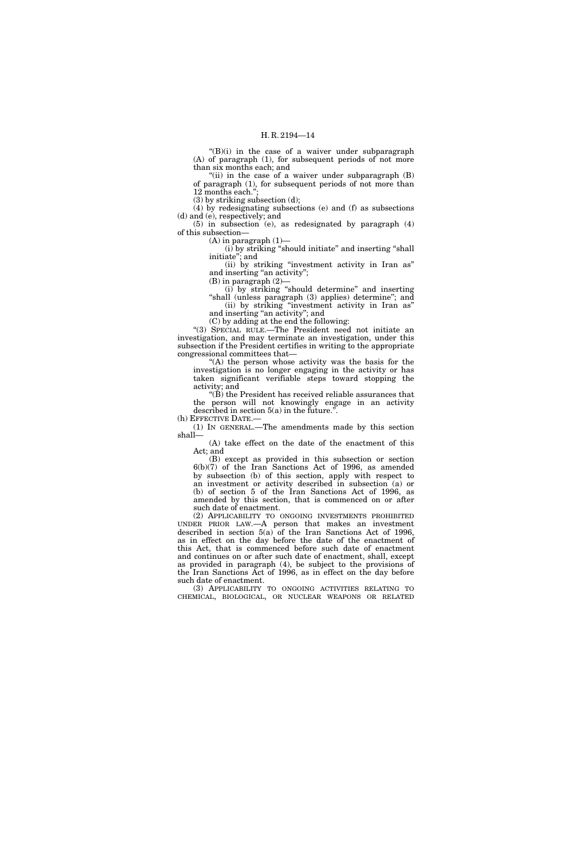"(B)(i) in the case of a waiver under subparagraph (A) of paragraph (1), for subsequent periods of not more than six months each; and

 $(iii)$  in the case of a waiver under subparagraph  $(B)$ of paragraph (1), for subsequent periods of not more than 12 months each.'';

(3) by striking subsection (d);

(4) by redesignating subsections (e) and (f) as subsections (d) and (e), respectively; and

(5) in subsection (e), as redesignated by paragraph (4) of this subsection—

 $(A)$  in paragraph  $(1)$ —

(i) by striking ''should initiate'' and inserting ''shall initiate''; and

(ii) by striking ''investment activity in Iran as'' and inserting "an activity";

 $(B)$  in paragraph  $(2)$ -

(i) by striking ''should determine'' and inserting "shall (unless paragraph (3) applies) determine"; and (ii) by striking ''investment activity in Iran as''

and inserting ''an activity''; and (C) by adding at the end the following:

''(3) SPECIAL RULE.—The President need not initiate an investigation, and may terminate an investigation, under this subsection if the President certifies in writing to the appropriate congressional committees that—

''(A) the person whose activity was the basis for the investigation is no longer engaging in the activity or has taken significant verifiable steps toward stopping the activity; and

''(B) the President has received reliable assurances that the person will not knowingly engage in an activity described in section 5(a) in the future.''.

(h) EFFECTIVE DATE.

(1) IN GENERAL.—The amendments made by this section shall—

(A) take effect on the date of the enactment of this Act; and

(B) except as provided in this subsection or section 6(b)(7) of the Iran Sanctions Act of 1996, as amended by subsection (b) of this section, apply with respect to an investment or activity described in subsection (a) or (b) of section 5 of the Iran Sanctions Act of 1996, as amended by this section, that is commenced on or after such date of enactment.

(2) APPLICABILITY TO ONGOING INVESTMENTS PROHIBITED UNDER PRIOR LAW.—A person that makes an investment described in section 5(a) of the Iran Sanctions Act of 1996, as in effect on the day before the date of the enactment of this Act, that is commenced before such date of enactment and continues on or after such date of enactment, shall, except as provided in paragraph (4), be subject to the provisions of the Iran Sanctions Act of 1996, as in effect on the day before such date of enactment.

(3) APPLICABILITY TO ONGOING ACTIVITIES RELATING TO CHEMICAL, BIOLOGICAL, OR NUCLEAR WEAPONS OR RELATED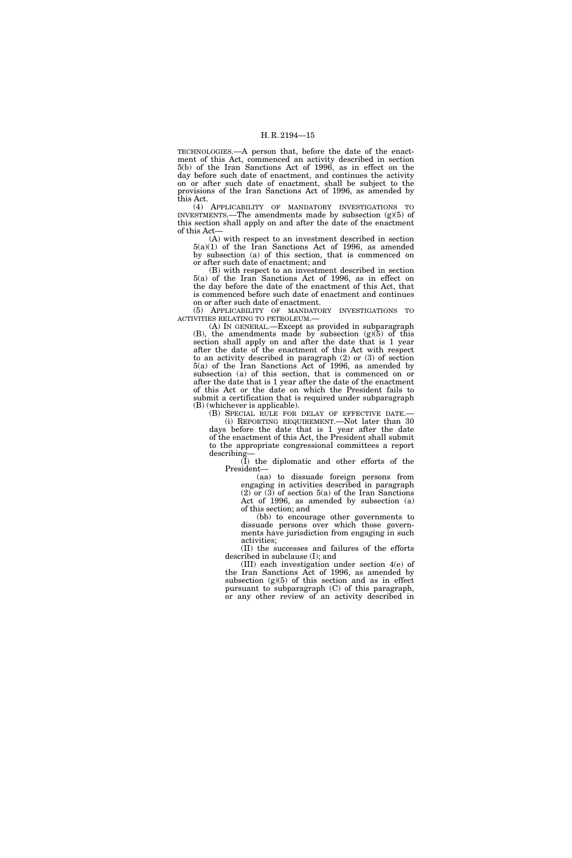TECHNOLOGIES.—A person that, before the date of the enactment of this Act, commenced an activity described in section 5(b) of the Iran Sanctions Act of 1996, as in effect on the day before such date of enactment, and continues the activity on or after such date of enactment, shall be subject to the provisions of the Iran Sanctions Act of 1996, as amended by this Act.

(4) APPLICABILITY OF MANDATORY INVESTIGATIONS TO INVESTMENTS.—The amendments made by subsection  $(g)(5)$  of this section shall apply on and after the date of the enactment of this Act—

(A) with respect to an investment described in section 5(a)(1) of the Iran Sanctions Act of 1996, as amended by subsection (a) of this section, that is commenced on or after such date of enactment; and

(B) with respect to an investment described in section 5(a) of the Iran Sanctions Act of 1996, as in effect on the day before the date of the enactment of this Act, that is commenced before such date of enactment and continues on or after such date of enactment.

(5) APPLICABILITY OF MANDATORY INVESTIGATIONS TO ACTIVITIES RELATING TO PETROLEUM.—

(A) IN GENERAL.—Except as provided in subparagraph  $(B)$ , the amendments made by subsection  $(g)(5)$  of this section shall apply on and after the date that is 1 year after the date of the enactment of this Act with respect to an activity described in paragraph (2) or (3) of section 5(a) of the Iran Sanctions Act of 1996, as amended by subsection (a) of this section, that is commenced on or after the date that is 1 year after the date of the enactment of this Act or the date on which the President fails to submit a certification that is required under subparagraph (B) (whichever is applicable).

(B) SPECIAL RULE FOR DELAY OF EFFECTIVE DATE.— (i) REPORTING REQUIREMENT.—Not later than 30

days before the date that is 1 year after the date of the enactment of this Act, the President shall submit to the appropriate congressional committees a report describing

(I) the diplomatic and other efforts of the President—

(aa) to dissuade foreign persons from engaging in activities described in paragraph (2) or (3) of section 5(a) of the Iran Sanctions Act of 1996, as amended by subsection (a) of this section; and

(bb) to encourage other governments to dissuade persons over which those governments have jurisdiction from engaging in such activities;

(II) the successes and failures of the efforts described in subclause (I); and

(III) each investigation under section 4(e) of the Iran Sanctions Act of 1996, as amended by subsection  $(g)(5)$  of this section and as in effect pursuant to subparagraph (C) of this paragraph, or any other review of an activity described in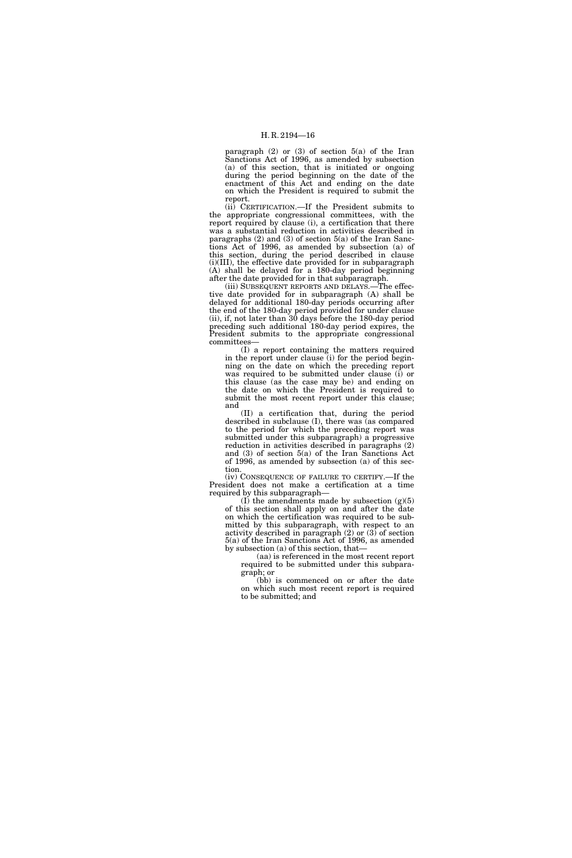paragraph (2) or (3) of section 5(a) of the Iran Sanctions Act of 1996, as amended by subsection (a) of this section, that is initiated or ongoing during the period beginning on the date of the enactment of this Act and ending on the date on which the President is required to submit the report.

(ii) CERTIFICATION.—If the President submits to the appropriate congressional committees, with the report required by clause (i), a certification that there was a substantial reduction in activities described in paragraphs (2) and (3) of section 5(a) of the Iran Sanctions Act of 1996, as amended by subsection (a) of this section, during the period described in clause (i)(III), the effective date provided for in subparagraph  $(A)$  shall be delayed for a 180-day period beginning after the date provided for in that subparagraph.

(iii) SUBSEQUENT REPORTS AND DELAYS.—The effective date provided for in subparagraph (A) shall be delayed for additional 180-day periods occurring after the end of the 180-day period provided for under clause (ii), if, not later than 30 days before the 180-day period preceding such additional 180-day period expires, the President submits to the appropriate congressional committees—

(I) a report containing the matters required in the report under clause (i) for the period beginning on the date on which the preceding report was required to be submitted under clause (i) or this clause (as the case may be) and ending on the date on which the President is required to submit the most recent report under this clause; and

(II) a certification that, during the period described in subclause (I), there was (as compared to the period for which the preceding report was submitted under this subparagraph) a progressive reduction in activities described in paragraphs (2) and (3) of section 5(a) of the Iran Sanctions Act of 1996, as amended by subsection (a) of this section.

(iv) CONSEQUENCE OF FAILURE TO CERTIFY.—If the President does not make a certification at a time required by this subparagraph—

(I) the amendments made by subsection  $(g)(5)$ of this section shall apply on and after the date on which the certification was required to be submitted by this subparagraph, with respect to an activity described in paragraph (2) or (3) of section 5(a) of the Iran Sanctions Act of 1996, as amended by subsection (a) of this section, that—

(aa) is referenced in the most recent report required to be submitted under this subparagraph; or

(bb) is commenced on or after the date on which such most recent report is required to be submitted; and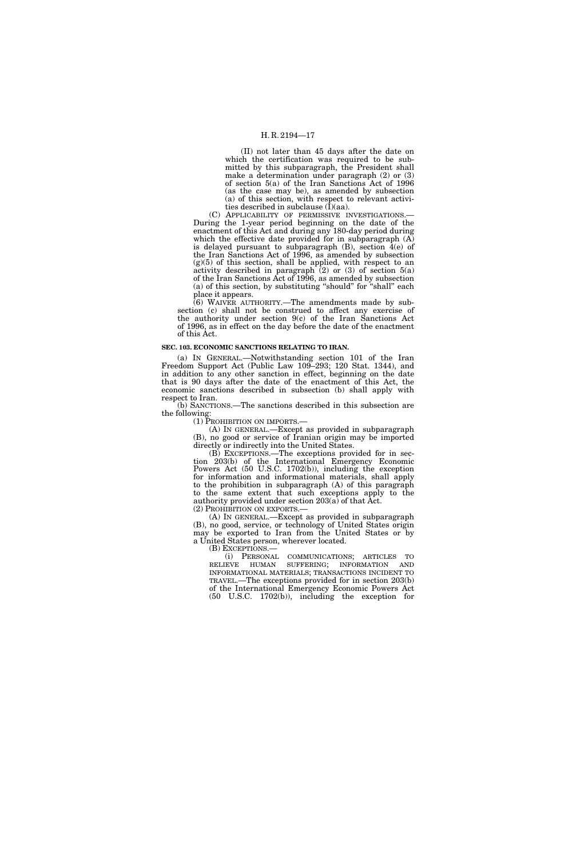(II) not later than 45 days after the date on which the certification was required to be submitted by this subparagraph, the President shall make a determination under paragraph (2) or (3) of section 5(a) of the Iran Sanctions Act of 1996 (as the case may be), as amended by subsection (a) of this section, with respect to relevant activities described in subclause  $(I)(aa)$ .

(C) APPLICABILITY OF PERMISSIVE INVESTIGATIONS.— During the 1-year period beginning on the date of the enactment of this Act and during any 180-day period during which the effective date provided for in subparagraph  $(A)$ is delayed pursuant to subparagraph  $(B)$ , section  $4(e)$  of the Iran Sanctions Act of 1996, as amended by subsection  $(g)(5)$  of this section, shall be applied, with respect to an activity described in paragraph  $(2)$  or  $(3)$  of section  $5(a)$ of the Iran Sanctions Act of 1996, as amended by subsection (a) of this section, by substituting ''should'' for ''shall'' each place it appears.

(6) WAIVER AUTHORITY.—The amendments made by subsection (c) shall not be construed to affect any exercise of the authority under section 9(c) of the Iran Sanctions Act of 1996, as in effect on the day before the date of the enactment of this Act.

#### **SEC. 103. ECONOMIC SANCTIONS RELATING TO IRAN.**

(a) IN GENERAL.—Notwithstanding section 101 of the Iran Freedom Support Act (Public Law 109–293; 120 Stat. 1344), and in addition to any other sanction in effect, beginning on the date that is 90 days after the date of the enactment of this Act, the economic sanctions described in subsection (b) shall apply with respect to Iran.

(b) SANCTIONS.—The sanctions described in this subsection are the following:<br>(1) PROHIBITION ON IMPORTS.—

 $(A)$  In GENERAL.—Except as provided in subparagraph (B), no good or service of Iranian origin may be imported directly or indirectly into the United States.

(B) EXCEPTIONS.—The exceptions provided for in section 203(b) of the International Emergency Economic Powers Act (50 U.S.C. 1702(b)), including the exception for information and informational materials, shall apply to the prohibition in subparagraph (A) of this paragraph to the same extent that such exceptions apply to the authority provided under section 203(a) of that Act.

(2) PROHIBITION ON EXPORTS.— (A) IN GENERAL.—Except as provided in subparagraph (B), no good, service, or technology of United States origin may be exported to Iran from the United States or by a United States person, wherever located.<br>(B) EXCEPTIONS.—

(i) PERSONAL COMMUNICATIONS; ARTICLES TO RELIEVE HUMAN SUFFERING; INFORMATION AND INFORMATIONAL MATERIALS; TRANSACTIONS INCIDENT TO TRAVEL.—The exceptions provided for in section 203(b) of the International Emergency Economic Powers Act (50 U.S.C. 1702(b)), including the exception for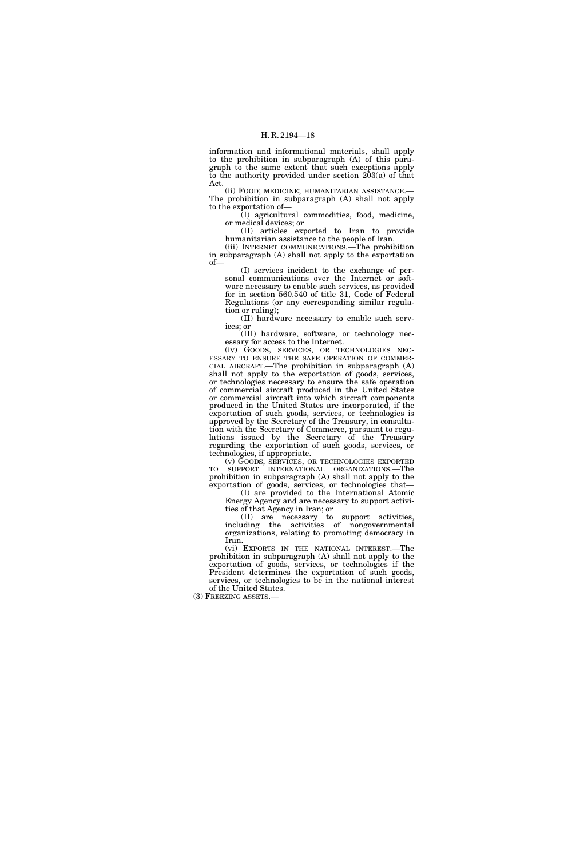information and informational materials, shall apply to the prohibition in subparagraph (A) of this paragraph to the same extent that such exceptions apply to the authority provided under section 203(a) of that Act.

(ii) FOOD; MEDICINE; HUMANITARIAN ASSISTANCE.— The prohibition in subparagraph (A) shall not apply to the exportation of—

(I) agricultural commodities, food, medicine, or medical devices; or

(II) articles exported to Iran to provide humanitarian assistance to the people of Iran.

(iii) INTERNET COMMUNICATIONS.—The prohibition in subparagraph (A) shall not apply to the exportation of—

(I) services incident to the exchange of personal communications over the Internet or software necessary to enable such services, as provided for in section 560.540 of title 31, Code of Federal Regulations (or any corresponding similar regulation or ruling);

(II) hardware necessary to enable such services; or

(III) hardware, software, or technology necessary for access to the Internet.<br>(iv) GOODS, SERVICES, OR TECHNOLOGIES NEC-

ESSARY TO ENSURE THE SAFE OPERATION OF COMMERCIAL AIRCRAFT.—The prohibition in subparagraph (A) shall not apply to the exportation of goods, services, or technologies necessary to ensure the safe operation of commercial aircraft produced in the United States or commercial aircraft into which aircraft components produced in the United States are incorporated, if the exportation of such goods, services, or technologies is approved by the Secretary of the Treasury, in consultation with the Secretary of Commerce, pursuant to regulations issued by the Secretary of the Treasury regarding the exportation of such goods, services, or technologies, if appropriate.

(v) GOODS, SERVICES, OR TECHNOLOGIES EXPORTED TO SUPPORT INTERNATIONAL ORGANIZATIONS.—The prohibition in subparagraph (A) shall not apply to the exportation of goods, services, or technologies that—

(I) are provided to the International Atomic Energy Agency and are necessary to support activities of that Agency in Iran; or

(II) are necessary to support activities, including the activities of nongovernmental organizations, relating to promoting democracy in Iran.

(vi) EXPORTS IN THE NATIONAL INTEREST.—The prohibition in subparagraph (A) shall not apply to the exportation of goods, services, or technologies if the President determines the exportation of such goods, services, or technologies to be in the national interest of the United States.

(3) FREEZING ASSETS.—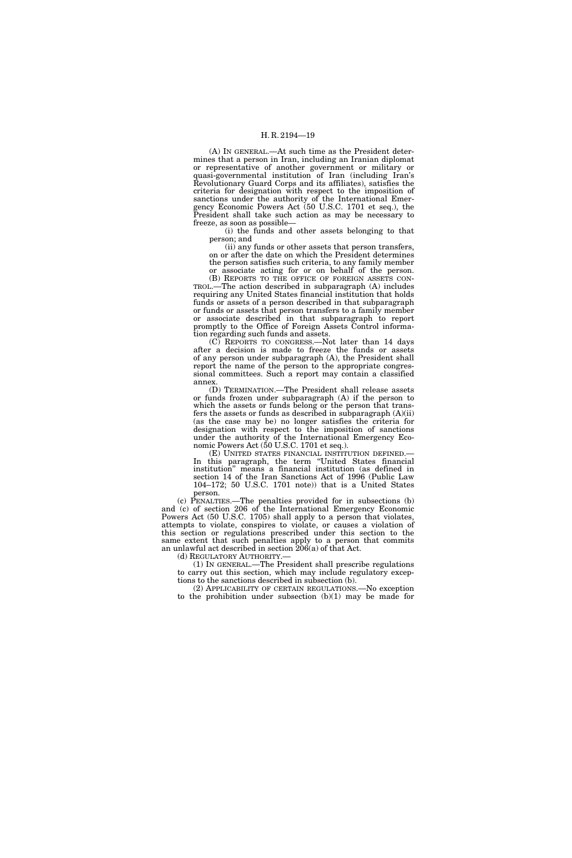(A) IN GENERAL.—At such time as the President determines that a person in Iran, including an Iranian diplomat or representative of another government or military or quasi-governmental institution of Iran (including Iran's Revolutionary Guard Corps and its affiliates), satisfies the criteria for designation with respect to the imposition of sanctions under the authority of the International Emergency Economic Powers Act (50 U.S.C. 1701 et seq.), the President shall take such action as may be necessary to freeze, as soon as possible—

(i) the funds and other assets belonging to that person; and

(ii) any funds or other assets that person transfers, on or after the date on which the President determines the person satisfies such criteria, to any family member

or associate acting for or on behalf of the person. (B) REPORTS TO THE OFFICE OF FOREIGN ASSETS CON-TROL.—The action described in subparagraph (A) includes requiring any United States financial institution that holds funds or assets of a person described in that subparagraph or funds or assets that person transfers to a family member or associate described in that subparagraph to report promptly to the Office of Foreign Assets Control information regarding such funds and assets.

(C) REPORTS TO CONGRESS.—Not later than 14 days after a decision is made to freeze the funds or assets of any person under subparagraph (A), the President shall report the name of the person to the appropriate congressional committees. Such a report may contain a classified annex.

(D) TERMINATION.—The President shall release assets or funds frozen under subparagraph (A) if the person to which the assets or funds belong or the person that transfers the assets or funds as described in subparagraph  $(A)(ii)$ (as the case may be) no longer satisfies the criteria for designation with respect to the imposition of sanctions under the authority of the International Emergency Economic Powers Act (50 U.S.C. 1701 et seq.).

(E) UNITED STATES FINANCIAL INSTITUTION DEFINED.— In this paragraph, the term ''United States financial institution'' means a financial institution (as defined in section 14 of the Iran Sanctions Act of 1996 (Public Law 104–172; 50 U.S.C. 1701 note)) that is a United States person.

(c) PENALTIES.—The penalties provided for in subsections (b) and (c) of section 206 of the International Emergency Economic Powers Act (50 U.S.C. 1705) shall apply to a person that violates, attempts to violate, conspires to violate, or causes a violation of this section or regulations prescribed under this section to the same extent that such penalties apply to a person that commits an unlawful act described in section 206(a) of that Act.

(d) REGULATORY AUTHORITY.— (1) IN GENERAL.—The President shall prescribe regulations to carry out this section, which may include regulatory exceptions to the sanctions described in subsection (b).

(2) APPLICABILITY OF CERTAIN REGULATIONS.—No exception to the prohibition under subsection  $(b)(1)$  may be made for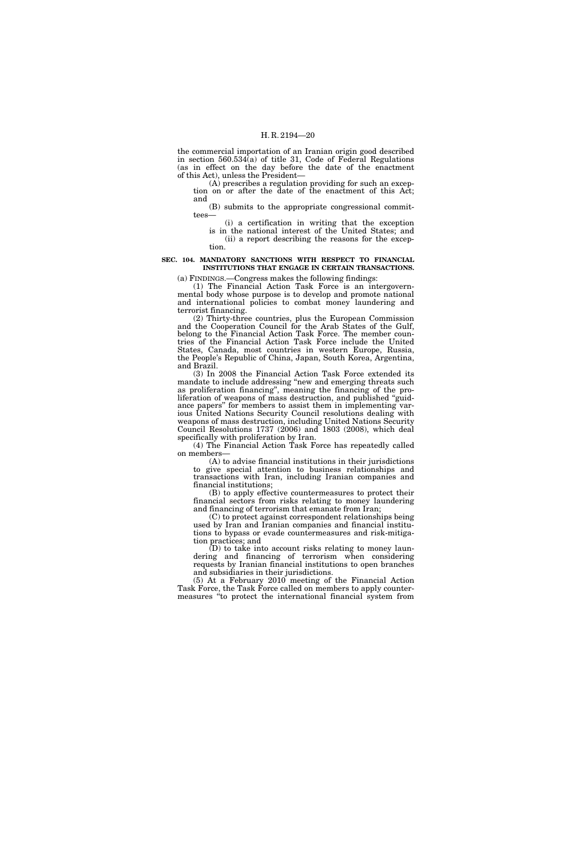the commercial importation of an Iranian origin good described in section  $560.534(a)$  of title 31, Code of Federal Regulations (as in effect on the day before the date of the enactment of this Act), unless the President—

(A) prescribes a regulation providing for such an exception on or after the date of the enactment of this Act; and

(B) submits to the appropriate congressional committees—

(i) a certification in writing that the exception is in the national interest of the United States; and (ii) a report describing the reasons for the exception.

# **SEC. 104. MANDATORY SANCTIONS WITH RESPECT TO FINANCIAL INSTITUTIONS THAT ENGAGE IN CERTAIN TRANSACTIONS.**

(a) FINDINGS.—Congress makes the following findings:

(1) The Financial Action Task Force is an intergovernmental body whose purpose is to develop and promote national and international policies to combat money laundering and terrorist financing.

(2) Thirty-three countries, plus the European Commission and the Cooperation Council for the Arab States of the Gulf, belong to the Financial Action Task Force. The member countries of the Financial Action Task Force include the United States, Canada, most countries in western Europe, Russia, the People's Republic of China, Japan, South Korea, Argentina, and Brazil.

(3) In 2008 the Financial Action Task Force extended its mandate to include addressing ''new and emerging threats such as proliferation financing'', meaning the financing of the proliferation of weapons of mass destruction, and published ''guidance papers'' for members to assist them in implementing various United Nations Security Council resolutions dealing with weapons of mass destruction, including United Nations Security Council Resolutions 1737 (2006) and 1803 (2008), which deal specifically with proliferation by Iran.

(4) The Financial Action Task Force has repeatedly called on members—

(A) to advise financial institutions in their jurisdictions to give special attention to business relationships and transactions with Iran, including Iranian companies and financial institutions;

(B) to apply effective countermeasures to protect their financial sectors from risks relating to money laundering and financing of terrorism that emanate from Iran;

(C) to protect against correspondent relationships being used by Iran and Iranian companies and financial institutions to bypass or evade countermeasures and risk-mitigation practices; and

(D) to take into account risks relating to money laundering and financing of terrorism when considering requests by Iranian financial institutions to open branches and subsidiaries in their jurisdictions.

(5) At a February 2010 meeting of the Financial Action Task Force, the Task Force called on members to apply countermeasures ''to protect the international financial system from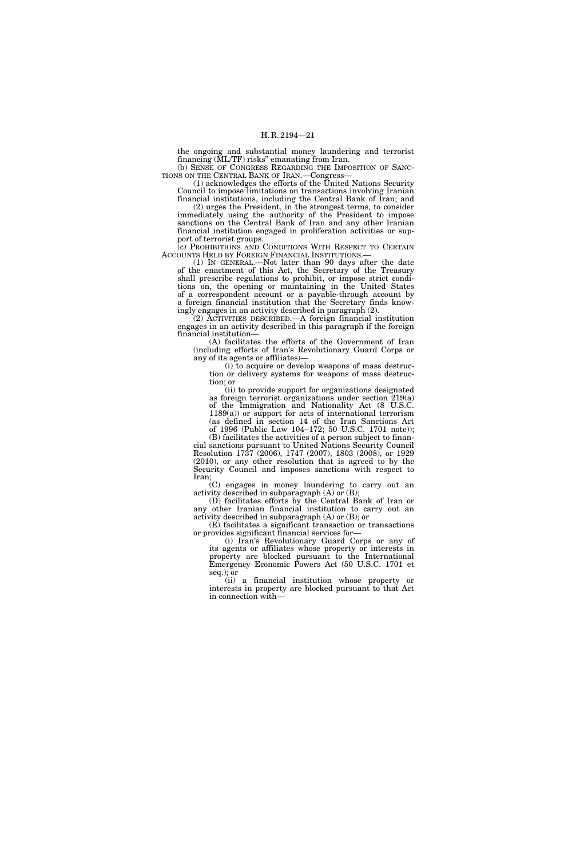the ongoing and substantial money laundering and terrorist financing (ML/TF) risks'' emanating from Iran. (b) SENSE OF CONGRESS REGARDING THE IMPOSITION OF SANC-

TIONS ON THE CENTRAL BANK OF IRAN.—Congress— (1) acknowledges the efforts of the United Nations Security

Council to impose limitations on transactions involving Iranian financial institutions, including the Central Bank of Iran; and (2) urges the President, in the strongest terms, to consider

immediately using the authority of the President to impose sanctions on the Central Bank of Iran and any other Iranian financial institution engaged in proliferation activities or support of terrorist groups.

(c) PROHIBITIONS AND CONDITIONS WITH RESPECT TO CERTAIN ACCOUNTS HELD BY FOREIGN FINANCIAL INSTITUTIONS.—

(1) IN GENERAL.—Not later than 90 days after the date of the enactment of this Act, the Secretary of the Treasury shall prescribe regulations to prohibit, or impose strict conditions on, the opening or maintaining in the United States of a correspondent account or a payable-through account by a foreign financial institution that the Secretary finds knowingly engages in an activity described in paragraph (2).

(2) ACTIVITIES DESCRIBED.—A foreign financial institution engages in an activity described in this paragraph if the foreign financial institution—

(A) facilitates the efforts of the Government of Iran (including efforts of Iran's Revolutionary Guard Corps or any of its agents or affiliates)—

(i) to acquire or develop weapons of mass destruction or delivery systems for weapons of mass destruction; or

(ii) to provide support for organizations designated as foreign terrorist organizations under section 219(a) of the Immigration and Nationality Act (8 U.S.C.  $1189(a)$  or support for acts of international terrorism (as defined in section 14 of the Iran Sanctions Act of 1996 (Public Law 104–172; 50 U.S.C. 1701 note));

(B) facilitates the activities of a person subject to financial sanctions pursuant to United Nations Security Council Resolution 1737 (2006), 1747 (2007), 1803 (2008), or 1929 (2010), or any other resolution that is agreed to by the Security Council and imposes sanctions with respect to Iran;

(C) engages in money laundering to carry out an activity described in subparagraph (A) or (B);

(D) facilitates efforts by the Central Bank of Iran or any other Iranian financial institution to carry out an activity described in subparagraph (A) or (B); or

(E) facilitates a significant transaction or transactions or provides significant financial services for—

(i) Iran's Revolutionary Guard Corps or any of its agents or affiliates whose property or interests in property are blocked pursuant to the International Emergency Economic Powers Act (50 U.S.C. 1701 et seq.); or

(ii) a financial institution whose property or interests in property are blocked pursuant to that Act in connection with—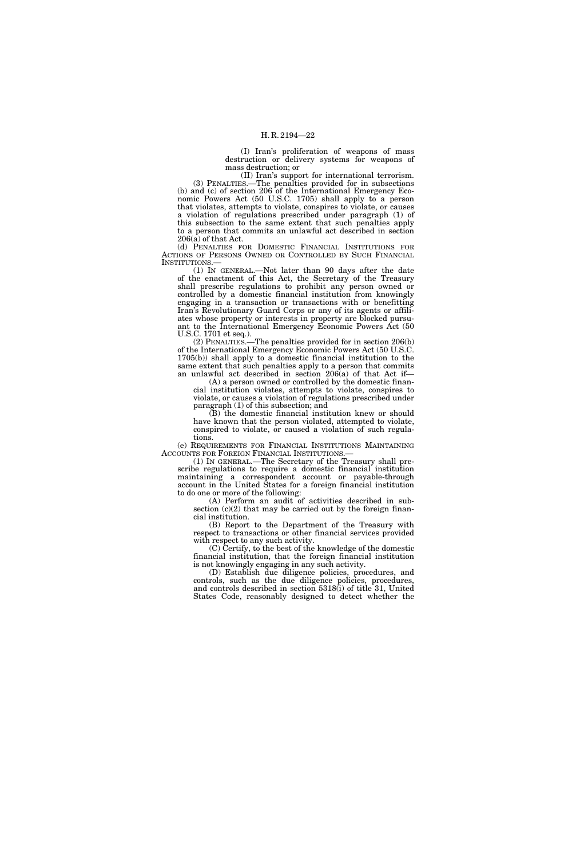(I) Iran's proliferation of weapons of mass destruction or delivery systems for weapons of mass destruction; or

(II) Iran's support for international terrorism. (3) PENALTIES.—The penalties provided for in subsections (b) and (c) of section 206 of the International Emergency Economic Powers Act (50 U.S.C. 1705) shall apply to a person that violates, attempts to violate, conspires to violate, or causes a violation of regulations prescribed under paragraph (1) of this subsection to the same extent that such penalties apply to a person that commits an unlawful act described in section 206(a) of that Act.

(d) PENALTIES FOR DOMESTIC FINANCIAL INSTITUTIONS FOR ACTIONS OF PERSONS OWNED OR CONTROLLED BY SUCH FINANCIAL INSTITUTIONS.—

(1) IN GENERAL.—Not later than 90 days after the date of the enactment of this Act, the Secretary of the Treasury shall prescribe regulations to prohibit any person owned or controlled by a domestic financial institution from knowingly engaging in a transaction or transactions with or benefitting Iran's Revolutionary Guard Corps or any of its agents or affiliates whose property or interests in property are blocked pursuant to the International Emergency Economic Powers Act (50 U.S.C. 1701 et seq.).

(2) PENALTIES.—The penalties provided for in section 206(b) of the International Emergency Economic Powers Act (50 U.S.C. 1705(b)) shall apply to a domestic financial institution to the same extent that such penalties apply to a person that commits an unlawful act described in section 206(a) of that Act if—

(A) a person owned or controlled by the domestic financial institution violates, attempts to violate, conspires to violate, or causes a violation of regulations prescribed under paragraph (1) of this subsection; and

(B) the domestic financial institution knew or should have known that the person violated, attempted to violate, conspired to violate, or caused a violation of such regulations.

(e) REQUIREMENTS FOR FINANCIAL INSTITUTIONS MAINTAINING ACCOUNTS FOR FOREIGN FINANCIAL INSTITUTIONS.—

(1) IN GENERAL.—The Secretary of the Treasury shall prescribe regulations to require a domestic financial institution maintaining a correspondent account or payable-through account in the United States for a foreign financial institution to do one or more of the following:

 $(A)$  Perform an audit of activities described in subsection  $(c)(2)$  that may be carried out by the foreign financial institution.

(B) Report to the Department of the Treasury with respect to transactions or other financial services provided with respect to any such activity.

(C) Certify, to the best of the knowledge of the domestic financial institution, that the foreign financial institution is not knowingly engaging in any such activity.

(D) Establish due diligence policies, procedures, and controls, such as the due diligence policies, procedures, and controls described in section 5318(i) of title 31, United States Code, reasonably designed to detect whether the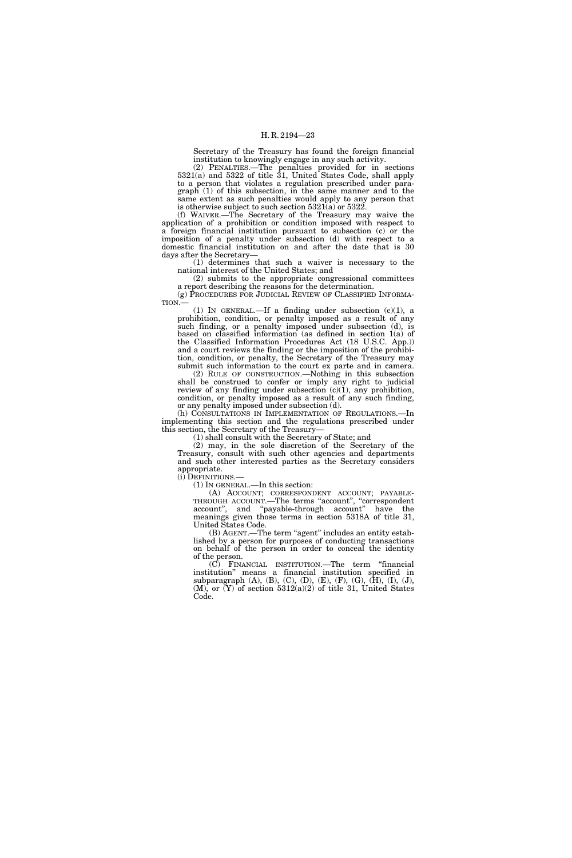Secretary of the Treasury has found the foreign financial institution to knowingly engage in any such activity.

(2) PENALTIES.—The penalties provided for in sections 5321(a) and 5322 of title 31, United States Code, shall apply to a person that violates a regulation prescribed under paragraph (1) of this subsection, in the same manner and to the same extent as such penalties would apply to any person that is otherwise subject to such section  $5321(a)$  or  $5322$ .

(f) WAIVER.—The Secretary of the Treasury may waive the application of a prohibition or condition imposed with respect to a foreign financial institution pursuant to subsection (c) or the imposition of a penalty under subsection (d) with respect to a domestic financial institution on and after the date that is 30 days after the Secretary—

(1) determines that such a waiver is necessary to the national interest of the United States; and

(2) submits to the appropriate congressional committees a report describing the reasons for the determination.

(g) PROCEDURES FOR JUDICIAL REVIEW OF CLASSIFIED INFORMA-TION.—

(1) IN GENERAL.—If a finding under subsection (c)(1), a prohibition, condition, or penalty imposed as a result of any such finding, or a penalty imposed under subsection (d), is based on classified information (as defined in section 1(a) of the Classified Information Procedures Act (18 U.S.C. App.)) and a court reviews the finding or the imposition of the prohibition, condition, or penalty, the Secretary of the Treasury may submit such information to the court ex parte and in camera. (2) RULE OF CONSTRUCTION.—Nothing in this subsection shall be construed to confer or imply any right to judicial review of any finding under subsection  $(c)(1)$ , any prohibition, condition, or penalty imposed as a result of any such finding, or any penalty imposed under subsection (d).

(h) CONSULTATIONS IN IMPLEMENTATION OF REGULATIONS.—In implementing this section and the regulations prescribed under this section, the Secretary of the Treasury—

(1) shall consult with the Secretary of State; and

(2) may, in the sole discretion of the Secretary of the Treasury, consult with such other agencies and departments and such other interested parties as the Secretary considers appropriate.

(i) DEFINITIONS.—

(1) IN GENERAL.—In this section:

(A) ACCOUNT; CORRESPONDENT ACCOUNT; PAYABLE-THROUGH ACCOUNT.—The terms ''account'', ''correspondent account'', and ''payable-through account'' have the meanings given those terms in section 5318A of title 31, United States Code.

(B) AGENT.—The term "agent" includes an entity established by a person for purposes of conducting transactions on behalf of the person in order to conceal the identity of the person.

(C) FINANCIAL INSTITUTION.—The term ''financial institution'' means a financial institution specified in subparagraph (A), (B), (C), (D), (E), (F), (G), (H), (I), (J),  $(M)$ , or  $(Y)$  of section 5312(a)(2) of title 31, United States Code.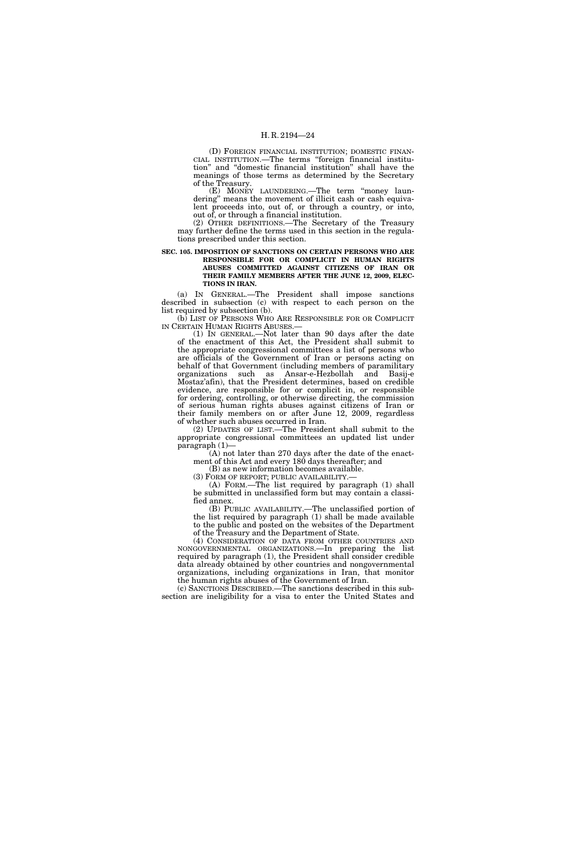(D) FOREIGN FINANCIAL INSTITUTION; DOMESTIC FINAN-CIAL INSTITUTION.—The terms ''foreign financial institution'' and ''domestic financial institution'' shall have the meanings of those terms as determined by the Secretary of the Treasury.

(E) MONEY LAUNDERING.—The term ''money laundering" means the movement of illicit cash or cash equivalent proceeds into, out of, or through a country, or into, out of, or through a financial institution.

(2) OTHER DEFINITIONS.—The Secretary of the Treasury may further define the terms used in this section in the regulations prescribed under this section.

#### **SEC. 105. IMPOSITION OF SANCTIONS ON CERTAIN PERSONS WHO ARE RESPONSIBLE FOR OR COMPLICIT IN HUMAN RIGHTS ABUSES COMMITTED AGAINST CITIZENS OF IRAN OR THEIR FAMILY MEMBERS AFTER THE JUNE 12, 2009, ELEC-TIONS IN IRAN.**

(a) IN GENERAL.—The President shall impose sanctions described in subsection (c) with respect to each person on the list required by subsection (b).

(b) LIST OF PERSONS WHO ARE RESPONSIBLE FOR OR COMPLICIT IN CERTAIN HUMAN RIGHTS ABUSES.—

(1) IN GENERAL.—Not later than 90 days after the date of the enactment of this Act, the President shall submit to the appropriate congressional committees a list of persons who are officials of the Government of Iran or persons acting on behalf of that Government (including members of paramilitary organizations such as Ansar-e-Hezbollah and Basij-e Mostaz'afin), that the President determines, based on credible evidence, are responsible for or complicit in, or responsible for ordering, controlling, or otherwise directing, the commission of serious human rights abuses against citizens of Iran or their family members on or after June 12, 2009, regardless of whether such abuses occurred in Iran.

(2) UPDATES OF LIST.—The President shall submit to the appropriate congressional committees an updated list under paragraph (1)—

(A) not later than 270 days after the date of the enactment of this Act and every 180 days thereafter; and

(B) as new information becomes available.

(3) FORM OF REPORT; PUBLIC AVAILABILITY.—

(A) FORM.—The list required by paragraph (1) shall be submitted in unclassified form but may contain a classified annex.

(B) PUBLIC AVAILABILITY.—The unclassified portion of the list required by paragraph (1) shall be made available to the public and posted on the websites of the Department of the Treasury and the Department of State.

(4) CONSIDERATION OF DATA FROM OTHER COUNTRIES AND NONGOVERNMENTAL ORGANIZATIONS.—In preparing the list required by paragraph (1), the President shall consider credible data already obtained by other countries and nongovernmental organizations, including organizations in Iran, that monitor the human rights abuses of the Government of Iran.

(c) SANCTIONS DESCRIBED.—The sanctions described in this subsection are ineligibility for a visa to enter the United States and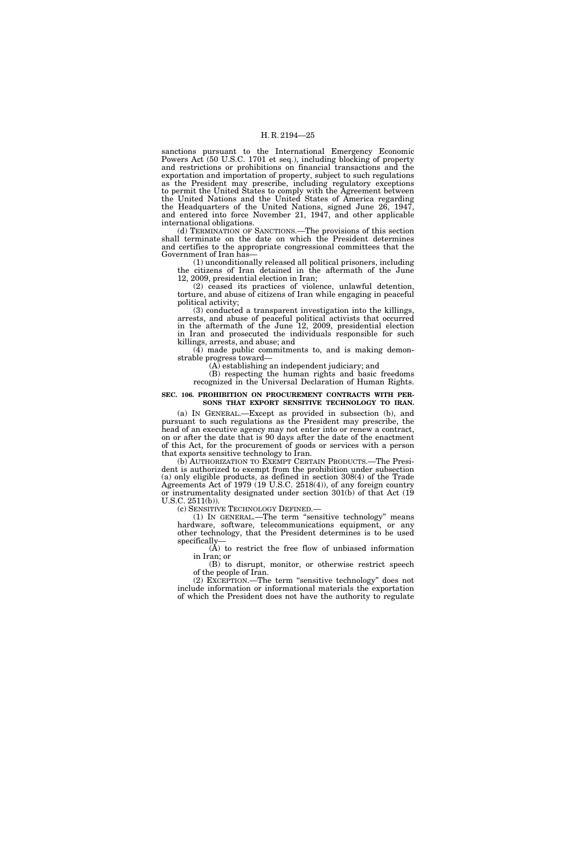sanctions pursuant to the International Emergency Economic Powers Act (50 U.S.C. 1701 et seq.), including blocking of property and restrictions or prohibitions on financial transactions and the exportation and importation of property, subject to such regulations as the President may prescribe, including regulatory exceptions to permit the United States to comply with the Agreement between the United Nations and the United States of America regarding the Headquarters of the United Nations, signed June 26, 1947, and entered into force November 21, 1947, and other applicable international obligations.

(d) TERMINATION OF SANCTIONS.—The provisions of this section shall terminate on the date on which the President determines and certifies to the appropriate congressional committees that the Government of Iran has—

(1) unconditionally released all political prisoners, including the citizens of Iran detained in the aftermath of the June 12, 2009, presidential election in Iran;

(2) ceased its practices of violence, unlawful detention, torture, and abuse of citizens of Iran while engaging in peaceful political activity;

(3) conducted a transparent investigation into the killings, arrests, and abuse of peaceful political activists that occurred in the aftermath of the June 12, 2009, presidential election in Iran and prosecuted the individuals responsible for such killings, arrests, and abuse; and

(4) made public commitments to, and is making demonstrable progress toward—

(A) establishing an independent judiciary; and

(B) respecting the human rights and basic freedoms recognized in the Universal Declaration of Human Rights.

#### **SEC. 106. PROHIBITION ON PROCUREMENT CONTRACTS WITH PER-SONS THAT EXPORT SENSITIVE TECHNOLOGY TO IRAN.**

(a) IN GENERAL.—Except as provided in subsection (b), and pursuant to such regulations as the President may prescribe, the head of an executive agency may not enter into or renew a contract, on or after the date that is 90 days after the date of the enactment of this Act, for the procurement of goods or services with a person that exports sensitive technology to Iran.

(b) AUTHORIZATION TO EXEMPT CERTAIN PRODUCTS.—The President is authorized to exempt from the prohibition under subsection (a) only eligible products, as defined in section 308(4) of the Trade Agreements Act of 1979 (19 U.S.C. 2518(4)), of any foreign country or instrumentality designated under section 301(b) of that Act (19 U.S.C. 2511(b)).

(c) SENSITIVE TECHNOLOGY DEFINED.—

(1) IN GENERAL.—The term ''sensitive technology'' means hardware, software, telecommunications equipment, or any other technology, that the President determines is to be used specifically—

(A) to restrict the free flow of unbiased information in Iran; or

(B) to disrupt, monitor, or otherwise restrict speech of the people of Iran.

(2) EXCEPTION.—The term ''sensitive technology'' does not include information or informational materials the exportation of which the President does not have the authority to regulate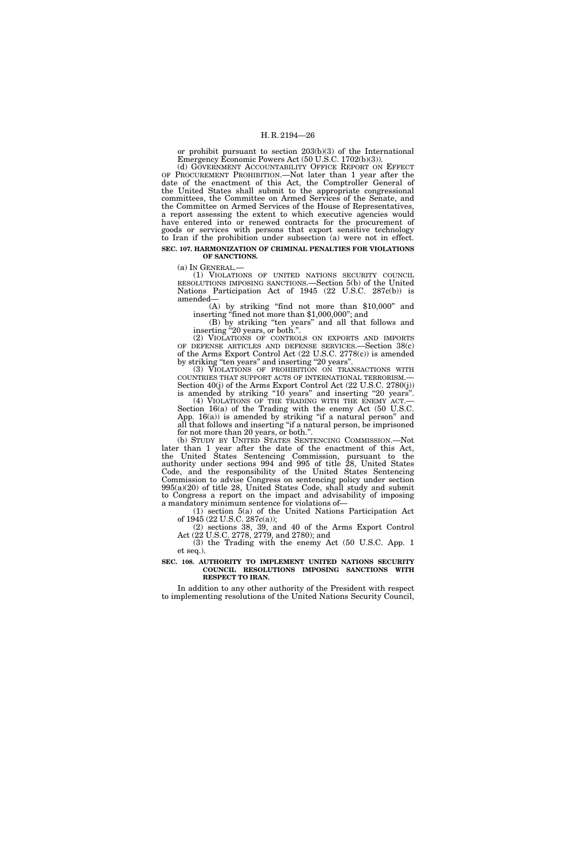or prohibit pursuant to section 203(b)(3) of the International Emergency Economic Powers Act (50 U.S.C. 1702(b)(3)).

(d) GOVERNMENT ACCOUNTABILITY OFFICE REPORT ON EFFECT OF PROCUREMENT PROHIBITION.—Not later than 1 year after the date of the enactment of this Act, the Comptroller General of the United States shall submit to the appropriate congressional committees, the Committee on Armed Services of the Senate, and the Committee on Armed Services of the House of Representatives, a report assessing the extent to which executive agencies would have entered into or renewed contracts for the procurement of goods or services with persons that export sensitive technology to Iran if the prohibition under subsection (a) were not in effect. **SEC. 107. HARMONIZATION OF CRIMINAL PENALTIES FOR VIOLATIONS OF SANCTIONS.** 

(a) IN GENERAL.— (1) VIOLATIONS OF UNITED NATIONS SECURITY COUNCIL RESOLUTIONS IMPOSING SANCTIONS.—Section 5(b) of the United Nations Participation Act of 1945 (22 U.S.C. 287c(b)) is amended—

(A) by striking ''find not more than \$10,000'' and inserting ''fined not more than \$1,000,000''; and

(B) by striking ''ten years'' and all that follows and inserting "20 years, or both.".

(2) VIOLATIONS OF CONTROLS ON EXPORTS AND IMPORTS OF DEFENSE ARTICLES AND DEFENSE SERVICES.—Section 38(c) of the Arms Export Control Act (22 U.S.C. 2778(c)) is amended by striking "ten years" and inserting "20 years".

(3) VIOLATIONS OF PROHIBITION ON TRANSACTIONS WITH COUNTRIES THAT SUPPORT ACTS OF INTERNATIONAL TERRORISM.— Section 40(j) of the Arms Export Control Act (22 U.S.C. 2780(j)) is amended by striking " $10$  years" and inserting " $20$  years".<br>(4) VIOLATIONS OF THE TRADING WITH THE ENEMY ACT.

Section  $16(a)$  of the Trading with the enemy Act (50 U.S.C. App.  $16(a)$  is amended by striking "if a natural person" and all that follows and inserting ''if a natural person, be imprisoned for not more than 20 years, or both.''.

(b) STUDY BY UNITED STATES SENTENCING COMMISSION.—Not later than 1 year after the date of the enactment of this Act, the United States Sentencing Commission, pursuant to the authority under sections 994 and 995 of title 28, United States Code, and the responsibility of the United States Sentencing Commission to advise Congress on sentencing policy under section 995(a)(20) of title 28, United States Code, shall study and submit to Congress a report on the impact and advisability of imposing a mandatory minimum sentence for violations of—

(1) section 5(a) of the United Nations Participation Act of 1945 (22 U.S.C. 287c(a));

(2) sections 38, 39, and 40 of the Arms Export Control Act (22 U.S.C. 2778, 2779, and 2780); and

(3) the Trading with the enemy Act (50 U.S.C. App. 1 et seq.).

#### **SEC. 108. AUTHORITY TO IMPLEMENT UNITED NATIONS SECURITY COUNCIL RESOLUTIONS IMPOSING SANCTIONS WITH RESPECT TO IRAN.**

In addition to any other authority of the President with respect to implementing resolutions of the United Nations Security Council,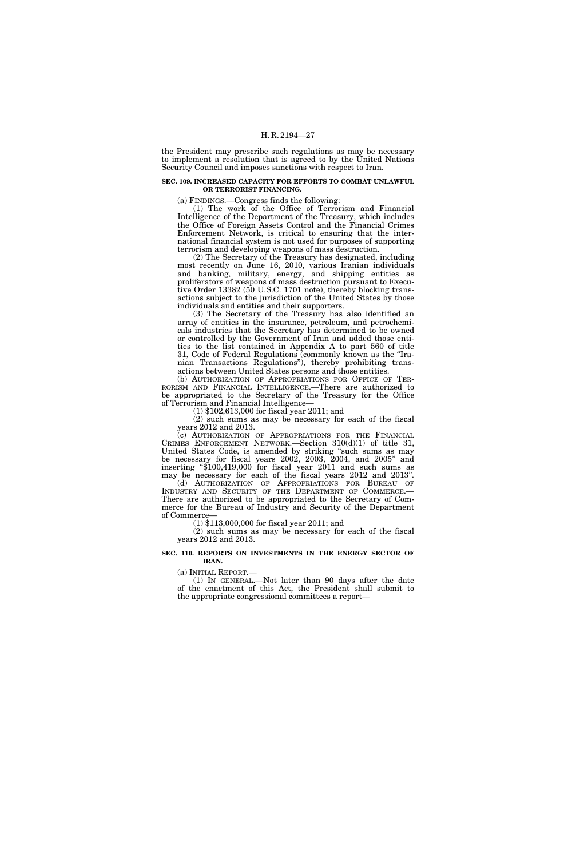the President may prescribe such regulations as may be necessary to implement a resolution that is agreed to by the United Nations Security Council and imposes sanctions with respect to Iran.

#### **SEC. 109. INCREASED CAPACITY FOR EFFORTS TO COMBAT UNLAWFUL OR TERRORIST FINANCING.**

(a) FINDINGS.—Congress finds the following:

(1) The work of the Office of Terrorism and Financial Intelligence of the Department of the Treasury, which includes the Office of Foreign Assets Control and the Financial Crimes Enforcement Network, is critical to ensuring that the international financial system is not used for purposes of supporting terrorism and developing weapons of mass destruction.

(2) The Secretary of the Treasury has designated, including most recently on June 16, 2010, various Iranian individuals and banking, military, energy, and shipping entities as proliferators of weapons of mass destruction pursuant to Executive Order 13382 (50 U.S.C. 1701 note), thereby blocking transactions subject to the jurisdiction of the United States by those individuals and entities and their supporters.

(3) The Secretary of the Treasury has also identified an array of entities in the insurance, petroleum, and petrochemicals industries that the Secretary has determined to be owned or controlled by the Government of Iran and added those entities to the list contained in Appendix A to part 560 of title 31, Code of Federal Regulations (commonly known as the ''Iranian Transactions Regulations''), thereby prohibiting transactions between United States persons and those entities.

(b) AUTHORIZATION OF APPROPRIATIONS FOR OFFICE OF TER-RORISM AND FINANCIAL INTELLIGENCE.—There are authorized to be appropriated to the Secretary of the Treasury for the Office of Terrorism and Financial Intelligence—

(1) \$102,613,000 for fiscal year 2011; and

(2) such sums as may be necessary for each of the fiscal years 2012 and 2013.

(c) AUTHORIZATION OF APPROPRIATIONS FOR THE FINANCIAL CRIMES ENFORCEMENT NETWORK.—Section 310(d)(1) of title 31, United States Code, is amended by striking ''such sums as may be necessary for fiscal years 2002, 2003, 2004, and 2005'' and inserting ''\$100,419,000 for fiscal year 2011 and such sums as may be necessary for each of the fiscal years 2012 and 2013''. (d) AUTHORIZATION OF APPROPRIATIONS FOR BUREAU OF

INDUSTRY AND SECURITY OF THE DEPARTMENT OF COMMERCE.— There are authorized to be appropriated to the Secretary of Commerce for the Bureau of Industry and Security of the Department of Commerce—

(1) \$113,000,000 for fiscal year 2011; and

(2) such sums as may be necessary for each of the fiscal years 2012 and 2013.

#### **SEC. 110. REPORTS ON INVESTMENTS IN THE ENERGY SECTOR OF IRAN.**

(a) INITIAL REPORT.—

(1) IN GENERAL.—Not later than 90 days after the date of the enactment of this Act, the President shall submit to the appropriate congressional committees a report—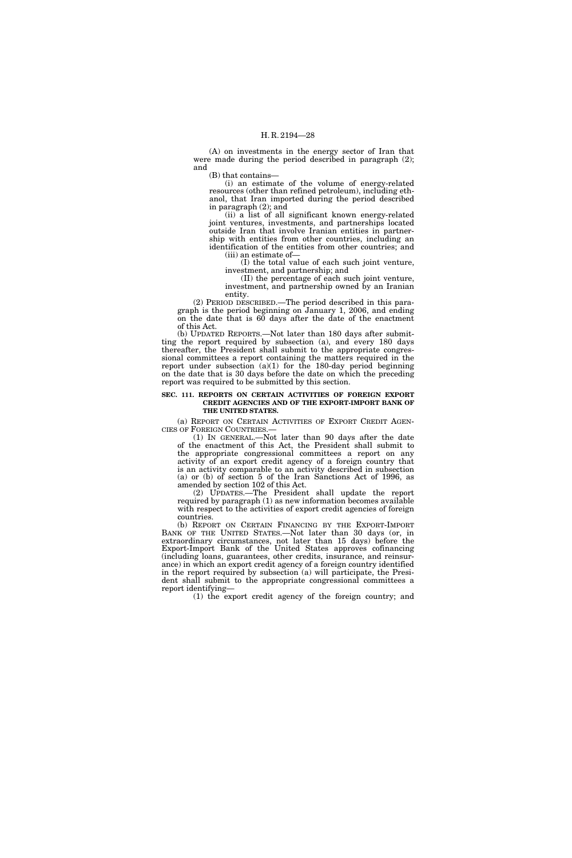(A) on investments in the energy sector of Iran that were made during the period described in paragraph (2); and

(B) that contains—

(i) an estimate of the volume of energy-related resources (other than refined petroleum), including ethanol, that Iran imported during the period described in paragraph (2); and

(ii) a list of all significant known energy-related joint ventures, investments, and partnerships located outside Iran that involve Iranian entities in partnership with entities from other countries, including an identification of the entities from other countries; and (iii) an estimate of—

(I) the total value of each such joint venture, investment, and partnership; and

(II) the percentage of each such joint venture, investment, and partnership owned by an Iranian entity.

(2) PERIOD DESCRIBED.—The period described in this paragraph is the period beginning on January 1, 2006, and ending on the date that is 60 days after the date of the enactment of this Act.

(b) UPDATED REPORTS.—Not later than 180 days after submitting the report required by subsection (a), and every 180 days thereafter, the President shall submit to the appropriate congressional committees a report containing the matters required in the report under subsection (a)(1) for the 180-day period beginning on the date that is 30 days before the date on which the preceding report was required to be submitted by this section.

#### **SEC. 111. REPORTS ON CERTAIN ACTIVITIES OF FOREIGN EXPORT CREDIT AGENCIES AND OF THE EXPORT-IMPORT BANK OF THE UNITED STATES.**

(a) REPORT ON CERTAIN ACTIVITIES OF EXPORT CREDIT AGENCIES OF FOREIGN COUNTRIES.— CIES OF FOREIGN COUNTRIES.— (1) IN GENERAL.—Not later than 90 days after the date

of the enactment of this Act, the President shall submit to the appropriate congressional committees a report on any activity of an export credit agency of a foreign country that is an activity comparable to an activity described in subsection (a) or (b) of section 5 of the Iran Sanctions Act of 1996, as amended by section 102 of this Act.

(2) UPDATES.—The President shall update the report required by paragraph (1) as new information becomes available with respect to the activities of export credit agencies of foreign countries.

(b) REPORT ON CERTAIN FINANCING BY THE EXPORT-IMPORT BANK OF THE UNITED STATES.—Not later than 30 days (or, in extraordinary circumstances, not later than 15 days) before the Export-Import Bank of the United States approves cofinancing (including loans, guarantees, other credits, insurance, and reinsurance) in which an export credit agency of a foreign country identified in the report required by subsection (a) will participate, the President shall submit to the appropriate congressional committees a report identifying—

(1) the export credit agency of the foreign country; and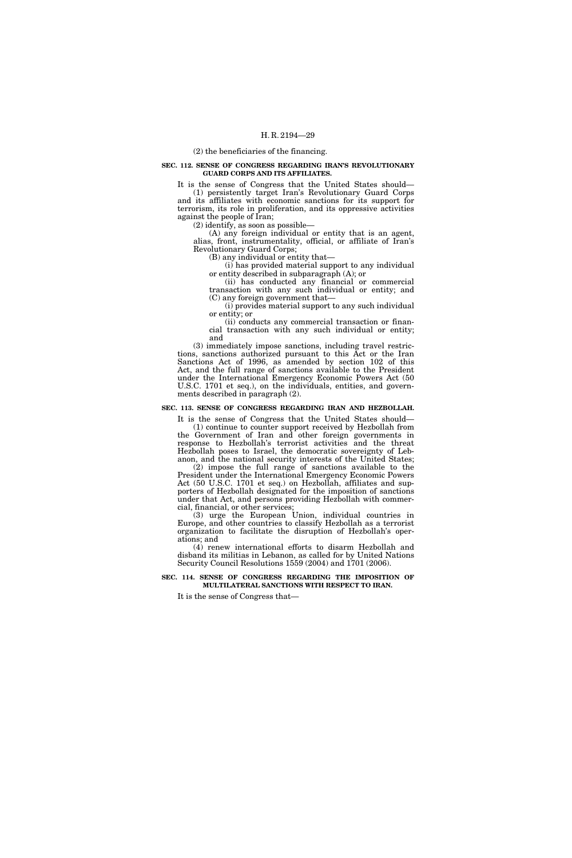(2) the beneficiaries of the financing.

#### **SEC. 112. SENSE OF CONGRESS REGARDING IRAN'S REVOLUTIONARY GUARD CORPS AND ITS AFFILIATES.**

It is the sense of Congress that the United States should— (1) persistently target Iran's Revolutionary Guard Corps and its affiliates with economic sanctions for its support for terrorism, its role in proliferation, and its oppressive activities against the people of Iran;

(2) identify, as soon as possible—

(A) any foreign individual or entity that is an agent, alias, front, instrumentality, official, or affiliate of Iran's Revolutionary Guard Corps;

(B) any individual or entity that—

(i) has provided material support to any individual or entity described in subparagraph (A); or

(ii) has conducted any financial or commercial transaction with any such individual or entity; and (C) any foreign government that—

(i) provides material support to any such individual or entity; or

(ii) conducts any commercial transaction or financial transaction with any such individual or entity; and

(3) immediately impose sanctions, including travel restrictions, sanctions authorized pursuant to this Act or the Iran Sanctions Act of 1996, as amended by section 102 of this Act, and the full range of sanctions available to the President under the International Emergency Economic Powers Act (50 U.S.C. 1701 et seq.), on the individuals, entities, and governments described in paragraph (2).

# **SEC. 113. SENSE OF CONGRESS REGARDING IRAN AND HEZBOLLAH.**

It is the sense of Congress that the United States should— (1) continue to counter support received by Hezbollah from the Government of Iran and other foreign governments in response to Hezbollah's terrorist activities and the threat Hezbollah poses to Israel, the democratic sovereignty of Lebanon, and the national security interests of the United States;

(2) impose the full range of sanctions available to the President under the International Emergency Economic Powers Act (50 U.S.C. 1701 et seq.) on Hezbollah, affiliates and supporters of Hezbollah designated for the imposition of sanctions under that Act, and persons providing Hezbollah with commercial, financial, or other services;

(3) urge the European Union, individual countries in Europe, and other countries to classify Hezbollah as a terrorist organization to facilitate the disruption of Hezbollah's operations; and

(4) renew international efforts to disarm Hezbollah and disband its militias in Lebanon, as called for by United Nations Security Council Resolutions 1559 (2004) and 1701 (2006).

#### **SEC. 114. SENSE OF CONGRESS REGARDING THE IMPOSITION OF MULTILATERAL SANCTIONS WITH RESPECT TO IRAN.**

It is the sense of Congress that—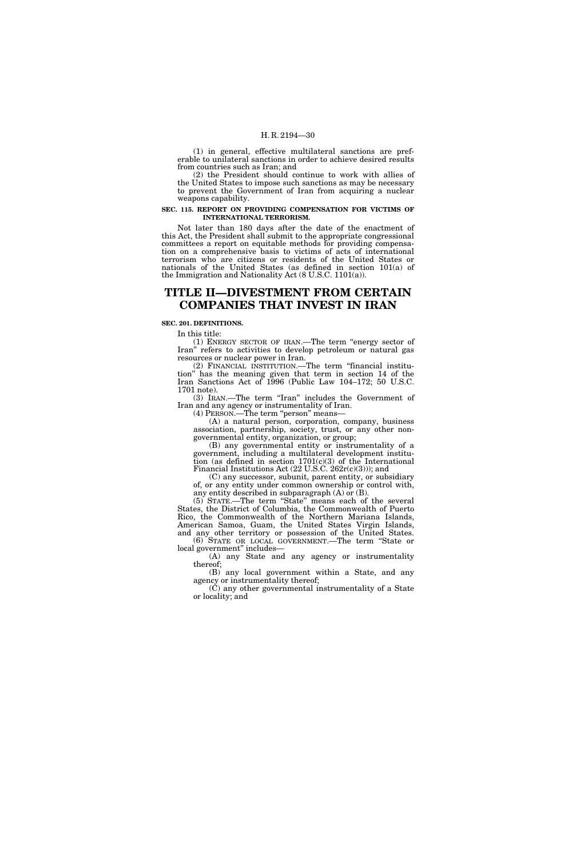(1) in general, effective multilateral sanctions are preferable to unilateral sanctions in order to achieve desired results from countries such as Iran; and

(2) the President should continue to work with allies of the United States to impose such sanctions as may be necessary to prevent the Government of Iran from acquiring a nuclear weapons capability.

#### **SEC. 115. REPORT ON PROVIDING COMPENSATION FOR VICTIMS OF INTERNATIONAL TERRORISM.**

Not later than 180 days after the date of the enactment of this Act, the President shall submit to the appropriate congressional committees a report on equitable methods for providing compensation on a comprehensive basis to victims of acts of international terrorism who are citizens or residents of the United States or nationals of the United States (as defined in section 101(a) of the Immigration and Nationality Act (8 U.S.C. 1101(a)).

# **TITLE II—DIVESTMENT FROM CERTAIN COMPANIES THAT INVEST IN IRAN**

# **SEC. 201. DEFINITIONS.**

In this title:

(1) ENERGY SECTOR OF IRAN.—The term ''energy sector of Iran'' refers to activities to develop petroleum or natural gas resources or nuclear power in Iran.

(2) FINANCIAL INSTITUTION.—The term ''financial institution'' has the meaning given that term in section 14 of the Iran Sanctions Act of 1996 (Public Law 104–172; 50 U.S.C. 1701 note).

(3) IRAN.—The term "Iran" includes the Government of Iran and any agency or instrumentality of Iran.

(4) PERSON.—The term ''person'' means—

(A) a natural person, corporation, company, business association, partnership, society, trust, or any other nongovernmental entity, organization, or group;

(B) any governmental entity or instrumentality of a government, including a multilateral development institution (as defined in section 1701(c)(3) of the International Financial Institutions Act  $(22 \text{ U.S.C. } 262 \text{r(c)}(3))$ ; and

(C) any successor, subunit, parent entity, or subsidiary of, or any entity under common ownership or control with, any entity described in subparagraph (A) or (B).

(5) STATE.—The term ''State'' means each of the several States, the District of Columbia, the Commonwealth of Puerto Rico, the Commonwealth of the Northern Mariana Islands, American Samoa, Guam, the United States Virgin Islands, and any other territory or possession of the United States. (6) STATE OR LOCAL GOVERNMENT.—The term ''State or

local government'' includes— (A) any State and any agency or instrumentality

thereof; (B) any local government within a State, and any agency or instrumentality thereof;

(C) any other governmental instrumentality of a State or locality; and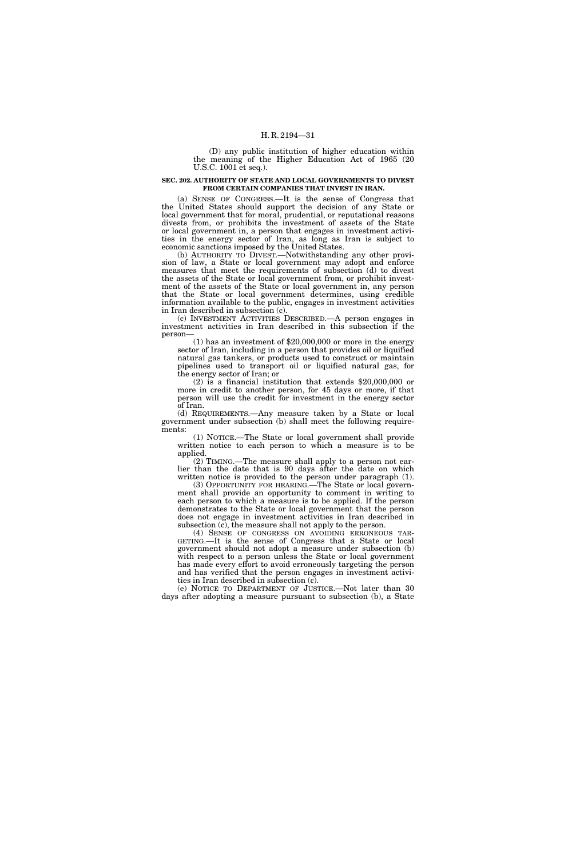(D) any public institution of higher education within the meaning of the Higher Education Act of 1965 (20 U.S.C. 1001 et seq.).

#### **SEC. 202. AUTHORITY OF STATE AND LOCAL GOVERNMENTS TO DIVEST FROM CERTAIN COMPANIES THAT INVEST IN IRAN.**

(a) SENSE OF CONGRESS.—It is the sense of Congress that the United States should support the decision of any State or local government that for moral, prudential, or reputational reasons divests from, or prohibits the investment of assets of the State or local government in, a person that engages in investment activities in the energy sector of Iran, as long as Iran is subject to economic sanctions imposed by the United States.

(b) AUTHORITY TO DIVEST.—Notwithstanding any other provision of law, a State or local government may adopt and enforce measures that meet the requirements of subsection (d) to divest the assets of the State or local government from, or prohibit investment of the assets of the State or local government in, any person that the State or local government determines, using credible information available to the public, engages in investment activities in Iran described in subsection (c).

(c) INVESTMENT ACTIVITIES DESCRIBED.—A person engages in investment activities in Iran described in this subsection if the person—

(1) has an investment of \$20,000,000 or more in the energy sector of Iran, including in a person that provides oil or liquified natural gas tankers, or products used to construct or maintain pipelines used to transport oil or liquified natural gas, for the energy sector of Iran; or

(2) is a financial institution that extends \$20,000,000 or more in credit to another person, for 45 days or more, if that person will use the credit for investment in the energy sector of Iran.

(d) REQUIREMENTS.—Any measure taken by a State or local government under subsection (b) shall meet the following requirements:

(1) NOTICE.—The State or local government shall provide written notice to each person to which a measure is to be applied.

(2) TIMING.—The measure shall apply to a person not earlier than the date that is 90 days after the date on which written notice is provided to the person under paragraph (1).

(3) OPPORTUNITY FOR HEARING.—The State or local government shall provide an opportunity to comment in writing to each person to which a measure is to be applied. If the person demonstrates to the State or local government that the person does not engage in investment activities in Iran described in subsection  $(c)$ , the measure shall not apply to the person.

(4) SENSE OF CONGRESS ON AVOIDING ERRONEOUS TAR-GETING.—It is the sense of Congress that a State or local government should not adopt a measure under subsection (b) with respect to a person unless the State or local government has made every effort to avoid erroneously targeting the person and has verified that the person engages in investment activities in Iran described in subsection (c).

(e) NOTICE TO DEPARTMENT OF JUSTICE.—Not later than 30 days after adopting a measure pursuant to subsection (b), a State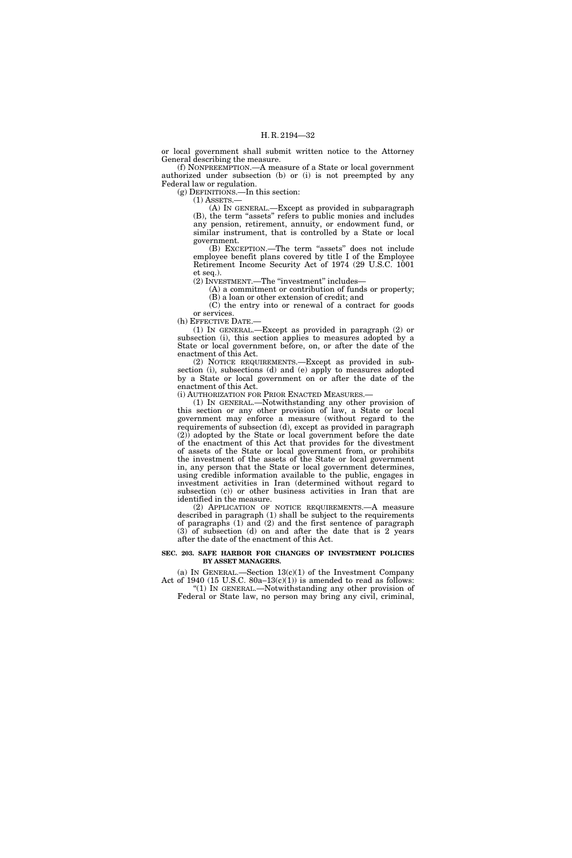or local government shall submit written notice to the Attorney General describing the measure.

(f) NONPREEMPTION.—A measure of a State or local government authorized under subsection (b) or (i) is not preempted by any Federal law or regulation.

(g) DEFINITIONS.—In this section:

 $(1)$  ASSETS. $-$ 

(A) IN GENERAL.—Except as provided in subparagraph (B), the term ''assets'' refers to public monies and includes any pension, retirement, annuity, or endowment fund, or similar instrument, that is controlled by a State or local government.

(B) EXCEPTION.—The term ''assets'' does not include employee benefit plans covered by title I of the Employee Retirement Income Security Act of 1974 (29 U.S.C. 1001 et seq.).

(2) INVESTMENT.—The ''investment'' includes—

(A) a commitment or contribution of funds or property; (B) a loan or other extension of credit; and

(C) the entry into or renewal of a contract for goods or services.

(h) EFFECTIVE DATE.—

(1) IN GENERAL.—Except as provided in paragraph (2) or subsection (i), this section applies to measures adopted by a State or local government before, on, or after the date of the enactment of this Act.

(2) NOTICE REQUIREMENTS.—Except as provided in subsection (i), subsections (d) and (e) apply to measures adopted by a State or local government on or after the date of the enactment of this Act.

(i) AUTHORIZATION FOR PRIOR ENACTED MEASURES.—

(1) IN GENERAL.—Notwithstanding any other provision of this section or any other provision of law, a State or local government may enforce a measure (without regard to the requirements of subsection (d), except as provided in paragraph (2)) adopted by the State or local government before the date of the enactment of this Act that provides for the divestment of assets of the State or local government from, or prohibits the investment of the assets of the State or local government in, any person that the State or local government determines, using credible information available to the public, engages in investment activities in Iran (determined without regard to subsection (c)) or other business activities in Iran that are identified in the measure.

(2) APPLICATION OF NOTICE REQUIREMENTS.—A measure described in paragraph (1) shall be subject to the requirements of paragraphs (1) and (2) and the first sentence of paragraph (3) of subsection (d) on and after the date that is 2 years after the date of the enactment of this Act.

#### **SEC. 203. SAFE HARBOR FOR CHANGES OF INVESTMENT POLICIES BY ASSET MANAGERS.**

(a) IN GENERAL.—Section  $13(c)(1)$  of the Investment Company Act of 1940 (15 U.S.C. 80a–13(c)(1)) is amended to read as follows: ''(1) IN GENERAL.—Notwithstanding any other provision of

Federal or State law, no person may bring any civil, criminal,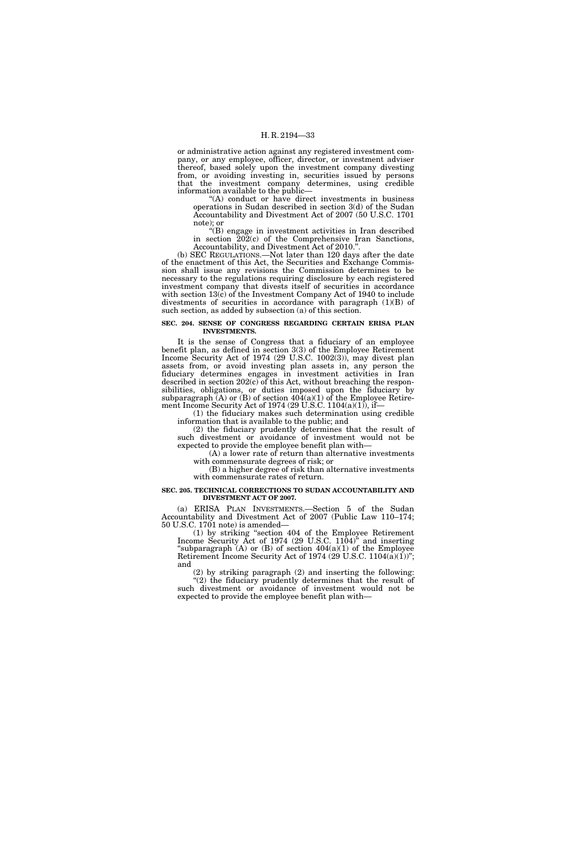or administrative action against any registered investment company, or any employee, officer, director, or investment adviser thereof, based solely upon the investment company divesting from, or avoiding investing in, securities issued by persons that the investment company determines, using credible information available to the public—

''(A) conduct or have direct investments in business operations in Sudan described in section 3(d) of the Sudan Accountability and Divestment Act of 2007 (50 U.S.C. 1701 note); or

''(B) engage in investment activities in Iran described in section 202(c) of the Comprehensive Iran Sanctions, Accountability, and Divestment Act of 2010.''.

(b) SEC REGULATIONS.—Not later than 120 days after the date of the enactment of this Act, the Securities and Exchange Commission shall issue any revisions the Commission determines to be necessary to the regulations requiring disclosure by each registered investment company that divests itself of securities in accordance with section 13(c) of the Investment Company Act of 1940 to include divestments of securities in accordance with paragraph (1)(B) of such section, as added by subsection (a) of this section.

#### **SEC. 204. SENSE OF CONGRESS REGARDING CERTAIN ERISA PLAN INVESTMENTS.**

It is the sense of Congress that a fiduciary of an employee benefit plan, as defined in section 3(3) of the Employee Retirement Income Security Act of 1974 (29 U.S.C. 1002(3)), may divest plan assets from, or avoid investing plan assets in, any person the fiduciary determines engages in investment activities in Iran described in section 202(c) of this Act, without breaching the responsibilities, obligations, or duties imposed upon the fiduciary by subparagraph  $(A)$  or  $(B)$  of section  $404(a)(1)$  of the Employee Retirement Income Security Act of 1974 (29 U.S.C. 1104(a)(1)), if—

(1) the fiduciary makes such determination using credible information that is available to the public; and

(2) the fiduciary prudently determines that the result of such divestment or avoidance of investment would not be expected to provide the employee benefit plan with—

(A) a lower rate of return than alternative investments with commensurate degrees of risk; or

(B) a higher degree of risk than alternative investments with commensurate rates of return.

#### **SEC. 205. TECHNICAL CORRECTIONS TO SUDAN ACCOUNTABILITY AND DIVESTMENT ACT OF 2007.**

(a) ERISA PLAN INVESTMENTS.—Section 5 of the Sudan Accountability and Divestment Act of 2007 (Public Law 110–174; 50 U.S.C. 1701 note) is amended—

(1) by striking ''section 404 of the Employee Retirement Income Security Act of  $1974$  (29 U.S.C.  $1104$ )<sup>\*</sup> and inserting "subparagraph  $(A)$  or  $(B)$  of section 404(a)(1) of the Employee Retirement Income Security Act of 1974 (29 U.S.C. 1104(a)(1))"; and

(2) by striking paragraph (2) and inserting the following: "(2) the fiduciary prudently determines that the result of such divestment or avoidance of investment would not be expected to provide the employee benefit plan with—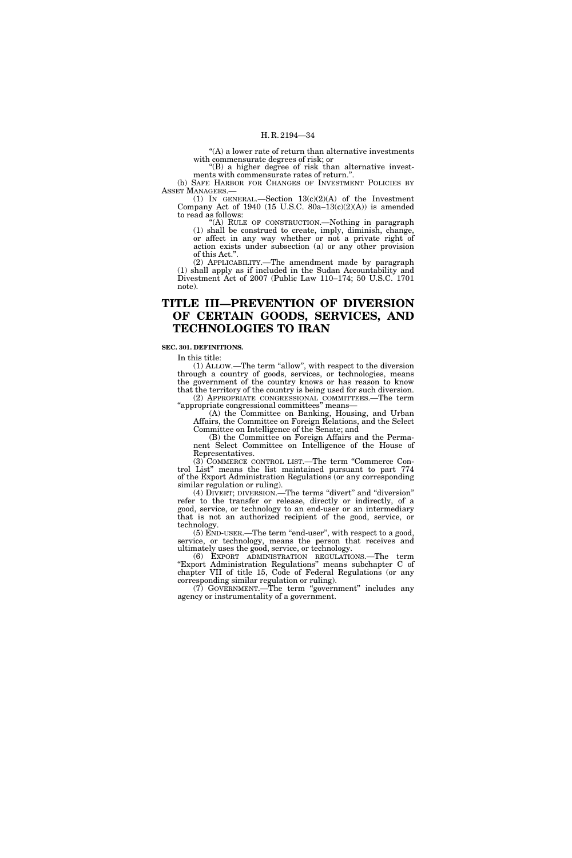$\mathrm{``(A)}$  a lower rate of return than alternative investments with commensurate degrees of risk; or

 $f(B)$  a higher degree of risk than alternative investments with commensurate rates of return.''.

(b) SAFE HARBOR FOR CHANGES OF INVESTMENT POLICIES BY ASSET MANAGERS.—

(1) IN GENERAL.—Section  $13(c)(2)(A)$  of the Investment Company Act of 1940 (15 U.S.C. 80a–13 $(c)(2)(A)$ ) is amended to read as follows:

''(A) RULE OF CONSTRUCTION.—Nothing in paragraph (1) shall be construed to create, imply, diminish, change, or affect in any way whether or not a private right of action exists under subsection (a) or any other provision of this Act.''.

(2) APPLICABILITY.—The amendment made by paragraph (1) shall apply as if included in the Sudan Accountability and Divestment Act of 2007 (Public Law 110–174; 50 U.S.C. 1701 note).

# **TITLE III—PREVENTION OF DIVERSION OF CERTAIN GOODS, SERVICES, AND TECHNOLOGIES TO IRAN**

# **SEC. 301. DEFINITIONS.**

In this title:

(1) ALLOW.—The term ''allow'', with respect to the diversion through a country of goods, services, or technologies, means the government of the country knows or has reason to know that the territory of the country is being used for such diversion. (2) APPROPRIATE CONGRESSIONAL COMMITTEES.—The term

''appropriate congressional committees'' means— (A) the Committee on Banking, Housing, and Urban Affairs, the Committee on Foreign Relations, and the Select Committee on Intelligence of the Senate; and

(B) the Committee on Foreign Affairs and the Permanent Select Committee on Intelligence of the House of Representatives.

(3) COMMERCE CONTROL LIST.—The term ''Commerce Control List'' means the list maintained pursuant to part 774 of the Export Administration Regulations (or any corresponding similar regulation or ruling).

(4) DIVERT; DIVERSION.—The terms "divert" and "diversion" refer to the transfer or release, directly or indirectly, of a good, service, or technology to an end-user or an intermediary that is not an authorized recipient of the good, service, or technology.

 $(5)$  END-USER.—The term "end-user", with respect to a good, service, or technology, means the person that receives and ultimately uses the good, service, or technology.

(6) EXPORT ADMINISTRATION REGULATIONS.—The term ''Export Administration Regulations'' means subchapter C of chapter VII of title 15, Code of Federal Regulations (or any corresponding similar regulation or ruling).

(7) GOVERNMENT.—The term "government" includes any agency or instrumentality of a government.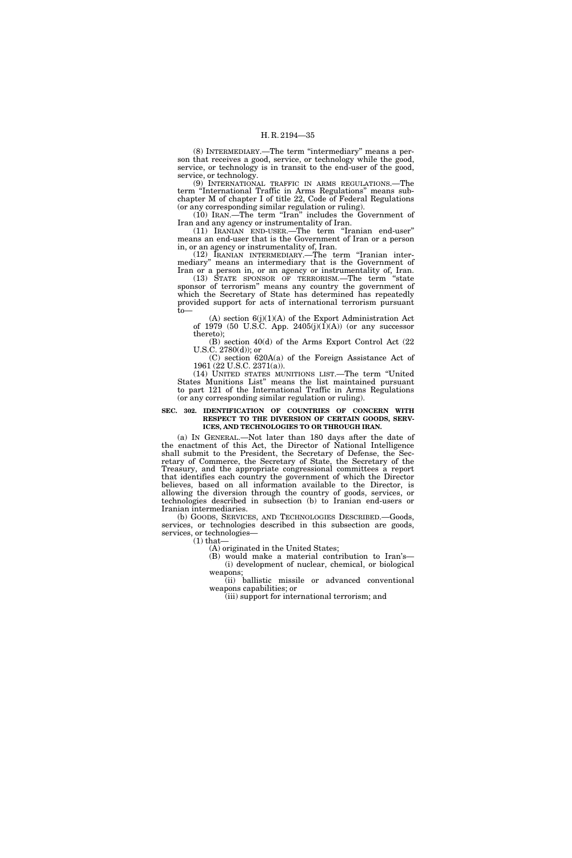(8) INTERMEDIARY.—The term ''intermediary'' means a person that receives a good, service, or technology while the good, service, or technology is in transit to the end-user of the good, service, or technology.

(9) INTERNATIONAL TRAFFIC IN ARMS REGULATIONS.—The term ''International Traffic in Arms Regulations'' means subchapter M of chapter I of title 22, Code of Federal Regulations (or any corresponding similar regulation or ruling).

 $(10)$  IRAN.—The term "Iran" includes the Government of Iran and any agency or instrumentality of Iran.

(11) IRANIAN END-USER.—The term ''Iranian end-user'' means an end-user that is the Government of Iran or a person in, or an agency or instrumentality of, Iran.

(12) IRANIAN INTERMEDIARY.—The term ''Iranian intermediary'' means an intermediary that is the Government of Iran or a person in, or an agency or instrumentality of, Iran.

(13) STATE SPONSOR OF TERRORISM.—The term ''state sponsor of terrorism'' means any country the government of which the Secretary of State has determined has repeatedly provided support for acts of international terrorism pursuant to—

 $(A)$  section  $6(j)(1)(A)$  of the Export Administration Act of 1979 (50 U.S.C. App. 2405 $(j)(1)(A)$ ) (or any successor thereto);

(B) section 40(d) of the Arms Export Control Act (22 U.S.C. 2780(d)); or

(C) section 620A(a) of the Foreign Assistance Act of 1961 (22 U.S.C. 2371(a)).

(14) UNITED STATES MUNITIONS LIST.—The term ''United States Munitions List'' means the list maintained pursuant to part 121 of the International Traffic in Arms Regulations (or any corresponding similar regulation or ruling).

#### **SEC. 302. IDENTIFICATION OF COUNTRIES OF CONCERN WITH RESPECT TO THE DIVERSION OF CERTAIN GOODS, SERV-ICES, AND TECHNOLOGIES TO OR THROUGH IRAN.**

(a) IN GENERAL.—Not later than 180 days after the date of the enactment of this Act, the Director of National Intelligence shall submit to the President, the Secretary of Defense, the Secretary of Commerce, the Secretary of State, the Secretary of the Treasury, and the appropriate congressional committees a report that identifies each country the government of which the Director believes, based on all information available to the Director, is allowing the diversion through the country of goods, services, or technologies described in subsection (b) to Iranian end-users or Iranian intermediaries.

(b) GOODS, SERVICES, AND TECHNOLOGIES DESCRIBED.—Goods, services, or technologies described in this subsection are goods, services, or technologies—  $(1)$  that-

(A) originated in the United States;

(B) would make a material contribution to Iran's— (i) development of nuclear, chemical, or biological weapons;

(ii) ballistic missile or advanced conventional weapons capabilities; or

(iii) support for international terrorism; and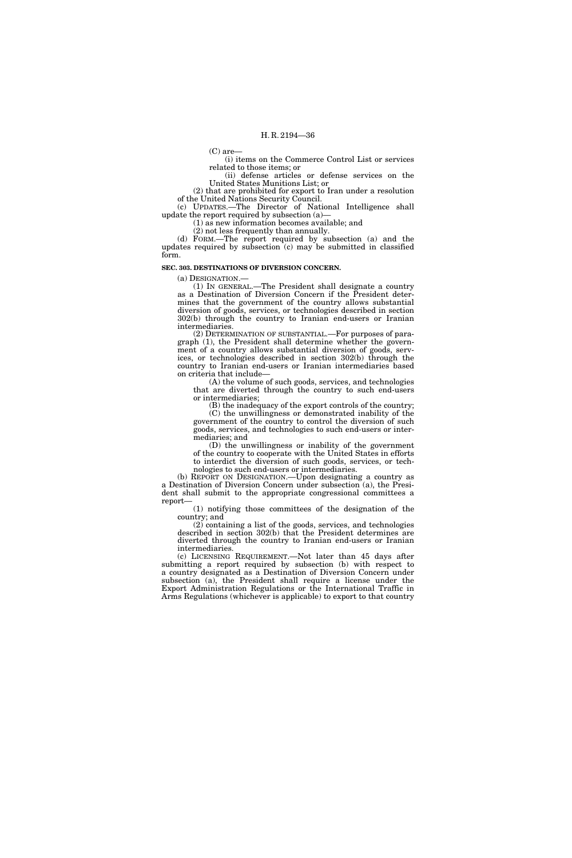(C) are—

(i) items on the Commerce Control List or services related to those items; or

(ii) defense articles or defense services on the United States Munitions List; or  $(2)$  that are prohibited for export to Iran under a resolution

of the United Nations Security Council. (c) UPDATES.—The Director of National Intelligence shall

update the report required by subsection (a)— (1) as new information becomes available; and

(2) not less frequently than annually.

(d) FORM.—The report required by subsection (a) and the updates required by subsection (c) may be submitted in classified form.

**SEC. 303. DESTINATIONS OF DIVERSION CONCERN.** 

# (a) DESIGNATION.—

(1) IN GENERAL.—The President shall designate a country as a Destination of Diversion Concern if the President determines that the government of the country allows substantial diversion of goods, services, or technologies described in section 302(b) through the country to Iranian end-users or Iranian intermediaries.

(2) DETERMINATION OF SUBSTANTIAL.—For purposes of paragraph (1), the President shall determine whether the government of a country allows substantial diversion of goods, services, or technologies described in section 302(b) through the country to Iranian end-users or Iranian intermediaries based on criteria that include—

(A) the volume of such goods, services, and technologies that are diverted through the country to such end-users or intermediaries;

(B) the inadequacy of the export controls of the country; (C) the unwillingness or demonstrated inability of the government of the country to control the diversion of such

goods, services, and technologies to such end-users or intermediaries; and (D) the unwillingness or inability of the government

of the country to cooperate with the United States in efforts to interdict the diversion of such goods, services, or technologies to such end-users or intermediaries.

(b) REPORT ON DESIGNATION.—Upon designating a country as a Destination of Diversion Concern under subsection (a), the President shall submit to the appropriate congressional committees a report—

(1) notifying those committees of the designation of the country; and

(2) containing a list of the goods, services, and technologies described in section 302(b) that the President determines are diverted through the country to Iranian end-users or Iranian intermediaries.

(c) LICENSING REQUIREMENT.—Not later than 45 days after submitting a report required by subsection (b) with respect to a country designated as a Destination of Diversion Concern under subsection (a), the President shall require a license under the Export Administration Regulations or the International Traffic in Arms Regulations (whichever is applicable) to export to that country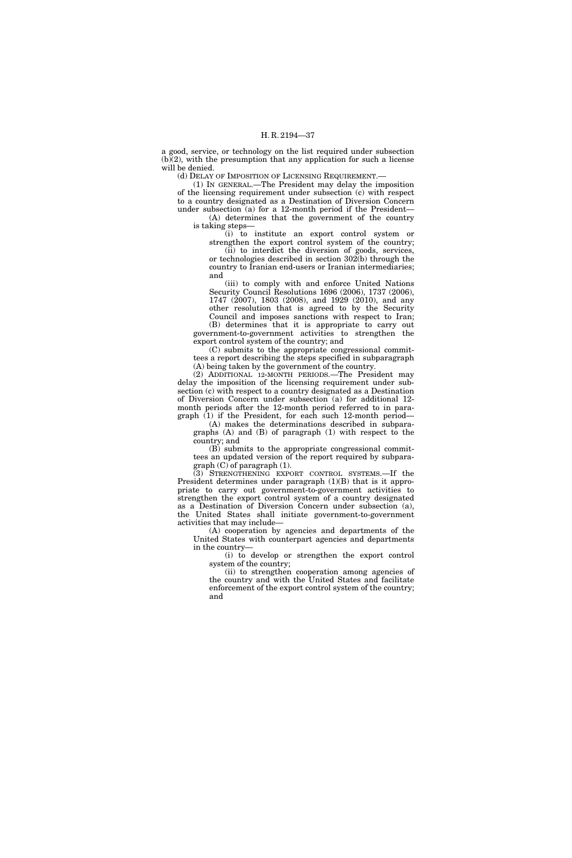a good, service, or technology on the list required under subsection  $(b)(2)$ , with the presumption that any application for such a license will be denied.

(d) DELAY OF IMPOSITION OF LICENSING REQUIREMENT.—

(1) IN GENERAL.—The President may delay the imposition of the licensing requirement under subsection (c) with respect to a country designated as a Destination of Diversion Concern under subsection (a) for a 12-month period if the President— (A) determines that the government of the country

is taking steps— (i) to institute an export control system or strengthen the export control system of the country;

(ii) to interdict the diversion of goods, services, or technologies described in section 302(b) through the country to Iranian end-users or Iranian intermediaries; and

(iii) to comply with and enforce United Nations Security Council Resolutions 1696 (2006), 1737 (2006), 1747 (2007), 1803 (2008), and 1929 (2010), and any other resolution that is agreed to by the Security Council and imposes sanctions with respect to Iran; (B) determines that it is appropriate to carry out

government-to-government activities to strengthen the export control system of the country; and

(C) submits to the appropriate congressional committees a report describing the steps specified in subparagraph (A) being taken by the government of the country.

(2) ADDITIONAL 12-MONTH PERIODS.—The President may delay the imposition of the licensing requirement under subsection (c) with respect to a country designated as a Destination of Diversion Concern under subsection (a) for additional 12 month periods after the 12-month period referred to in paragraph (1) if the President, for each such 12-month period—

(A) makes the determinations described in subparagraphs (A) and (B) of paragraph (1) with respect to the country; and

(B) submits to the appropriate congressional committees an updated version of the report required by subparagraph (C) of paragraph (1).

(3) STRENGTHENING EXPORT CONTROL SYSTEMS.—If the President determines under paragraph  $(1)(B)$  that is it appropriate to carry out government-to-government activities to strengthen the export control system of a country designated as a Destination of Diversion Concern under subsection (a), the United States shall initiate government-to-government activities that may include—

(A) cooperation by agencies and departments of the United States with counterpart agencies and departments in the country—

(i) to develop or strengthen the export control system of the country;

(ii) to strengthen cooperation among agencies of the country and with the United States and facilitate enforcement of the export control system of the country; and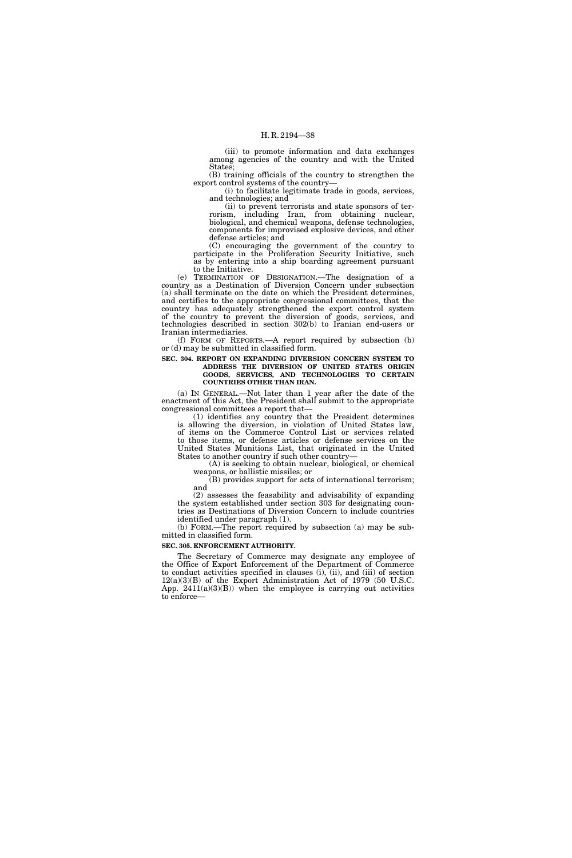(iii) to promote information and data exchanges among agencies of the country and with the United States;

(B) training officials of the country to strengthen the export control systems of the country—

(i) to facilitate legitimate trade in goods, services, and technologies; and

(ii) to prevent terrorists and state sponsors of terrorism, including Iran, from obtaining nuclear, biological, and chemical weapons, defense technologies, components for improvised explosive devices, and other defense articles; and

(C) encouraging the government of the country to participate in the Proliferation Security Initiative, such as by entering into a ship boarding agreement pursuant to the Initiative.

(e) TERMINATION OF DESIGNATION.—The designation of a country as a Destination of Diversion Concern under subsection (a) shall terminate on the date on which the President determines, and certifies to the appropriate congressional committees, that the country has adequately strengthened the export control system of the country to prevent the diversion of goods, services, and technologies described in section 302(b) to Iranian end-users or Iranian intermediaries.

(f) FORM OF REPORTS.—A report required by subsection (b) or (d) may be submitted in classified form.

**SEC. 304. REPORT ON EXPANDING DIVERSION CONCERN SYSTEM TO ADDRESS THE DIVERSION OF UNITED STATES ORIGIN** 

**GOODS, SERVICES, AND TECHNOLOGIES TO CERTAIN COUNTRIES OTHER THAN IRAN.** 

(a) IN GENERAL.—Not later than 1 year after the date of the enactment of this Act, the President shall submit to the appropriate congressional committees a report that—

(1) identifies any country that the President determines is allowing the diversion, in violation of United States law, of items on the Commerce Control List or services related to those items, or defense articles or defense services on the United States Munitions List, that originated in the United States to another country if such other country—

(A) is seeking to obtain nuclear, biological, or chemical weapons, or ballistic missiles; or

(B) provides support for acts of international terrorism; and

(2) assesses the feasability and advisability of expanding the system established under section 303 for designating countries as Destinations of Diversion Concern to include countries identified under paragraph (1).

(b) FORM.—The report required by subsection (a) may be submitted in classified form.

## **SEC. 305. ENFORCEMENT AUTHORITY.**

The Secretary of Commerce may designate any employee of the Office of Export Enforcement of the Department of Commerce to conduct activities specified in clauses (i), (ii), and (iii) of section 12(a)(3)(B) of the Export Administration Act of 1979 (50 U.S.C. App.  $2411(a)(3)(B)$ ) when the employee is carrying out activities to enforce—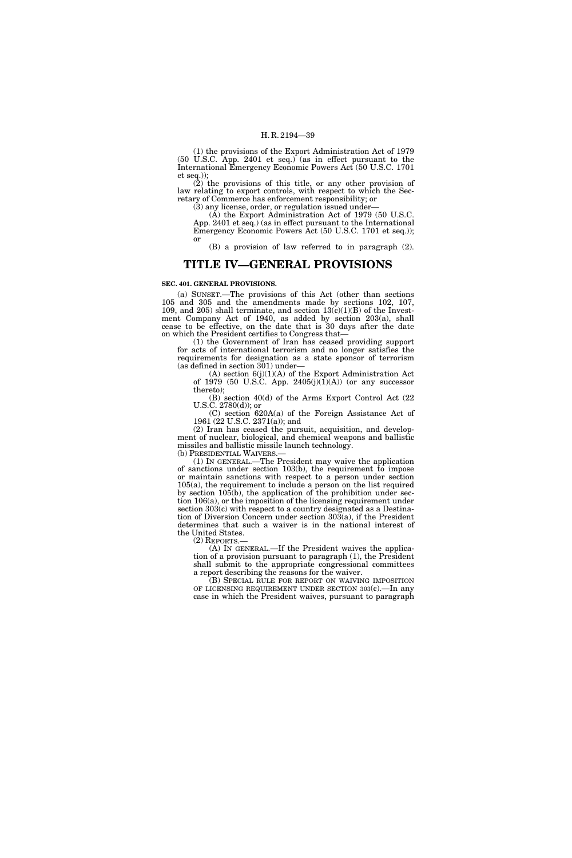(1) the provisions of the Export Administration Act of 1979 (50 U.S.C. App. 2401 et seq.) (as in effect pursuant to the International Emergency Economic Powers Act (50 U.S.C. 1701 et seq.));

(2) the provisions of this title, or any other provision of law relating to export controls, with respect to which the Secretary of Commerce has enforcement responsibility; or

(3) any license, order, or regulation issued under—

(A) the Export Administration Act of 1979 (50 U.S.C. App. 2401 et seq.) (as in effect pursuant to the International Emergency Economic Powers Act (50 U.S.C. 1701 et seq.)); or

(B) a provision of law referred to in paragraph (2).

# **TITLE IV—GENERAL PROVISIONS**

#### **SEC. 401. GENERAL PROVISIONS.**

(a) SUNSET.—The provisions of this Act (other than sections 105 and 305 and the amendments made by sections 102, 107, 109, and 205) shall terminate, and section  $13(c)(1)(B)$  of the Investment Company Act of 1940, as added by section 203(a), shall cease to be effective, on the date that is 30 days after the date on which the President certifies to Congress that—

(1) the Government of Iran has ceased providing support for acts of international terrorism and no longer satisfies the requirements for designation as a state sponsor of terrorism (as defined in section 301) under—

(A) section  $6(j)(1)(A)$  of the Export Administration Act of 1979 (50 U.S.C. App. 2405 $(j)(1)(A)$ ) (or any successor thereto);

(B) section 40(d) of the Arms Export Control Act (22  $U.S.C. 2780(d)$ ; or

(C) section 620A(a) of the Foreign Assistance Act of 1961 (22 U.S.C. 2371(a)); and

(2) Iran has ceased the pursuit, acquisition, and development of nuclear, biological, and chemical weapons and ballistic missiles and ballistic missile launch technology.

(b) PRESIDENTIAL WAIVERS.—

(1) IN GENERAL.—The President may waive the application of sanctions under section 103(b), the requirement to impose or maintain sanctions with respect to a person under section 105(a), the requirement to include a person on the list required by section 105(b), the application of the prohibition under section 106(a), or the imposition of the licensing requirement under section 303(c) with respect to a country designated as a Destination of Diversion Concern under section 303(a), if the President determines that such a waiver is in the national interest of the United States.

(2) REPORTS.—

(A) IN GENERAL.—If the President waives the application of a provision pursuant to paragraph (1), the President shall submit to the appropriate congressional committees a report describing the reasons for the waiver.

(B) SPECIAL RULE FOR REPORT ON WAIVING IMPOSITION OF LICENSING REQUIREMENT UNDER SECTION 303(c).—In any case in which the President waives, pursuant to paragraph